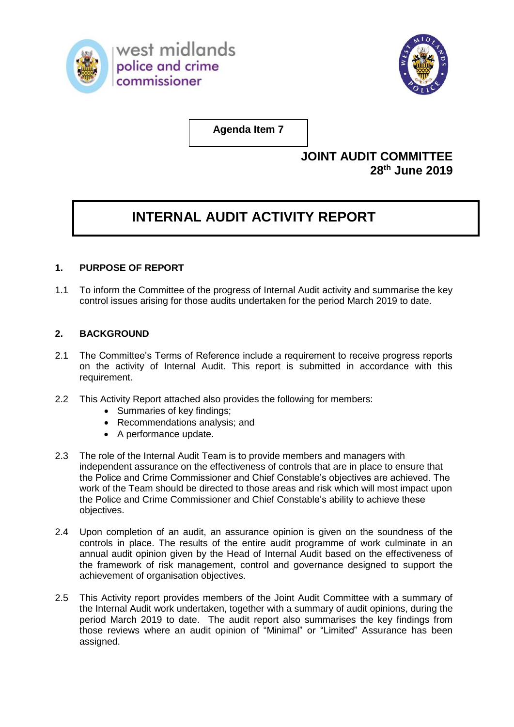



**Agenda Item 7**

## **JOINT AUDIT COMMITTEE 28th June 2019**

## **INTERNAL AUDIT ACTIVITY REPORT**

## **1. PURPOSE OF REPORT**

1.1 To inform the Committee of the progress of Internal Audit activity and summarise the key control issues arising for those audits undertaken for the period March 2019 to date.

## **2. BACKGROUND**

- 2.1 The Committee's Terms of Reference include a requirement to receive progress reports on the activity of Internal Audit. This report is submitted in accordance with this requirement.
- 2.2 This Activity Report attached also provides the following for members:
	- Summaries of key findings;
	- Recommendations analysis; and
	- A performance update.
- 2.3 The role of the Internal Audit Team is to provide members and managers with independent assurance on the effectiveness of controls that are in place to ensure that the Police and Crime Commissioner and Chief Constable's objectives are achieved. The work of the Team should be directed to those areas and risk which will most impact upon the Police and Crime Commissioner and Chief Constable's ability to achieve these objectives.
- 2.4 Upon completion of an audit, an assurance opinion is given on the soundness of the controls in place. The results of the entire audit programme of work culminate in an annual audit opinion given by the Head of Internal Audit based on the effectiveness of the framework of risk management, control and governance designed to support the achievement of organisation objectives.
- 2.5 This Activity report provides members of the Joint Audit Committee with a summary of the Internal Audit work undertaken, together with a summary of audit opinions, during the period March 2019 to date. The audit report also summarises the key findings from those reviews where an audit opinion of "Minimal" or "Limited" Assurance has been assigned.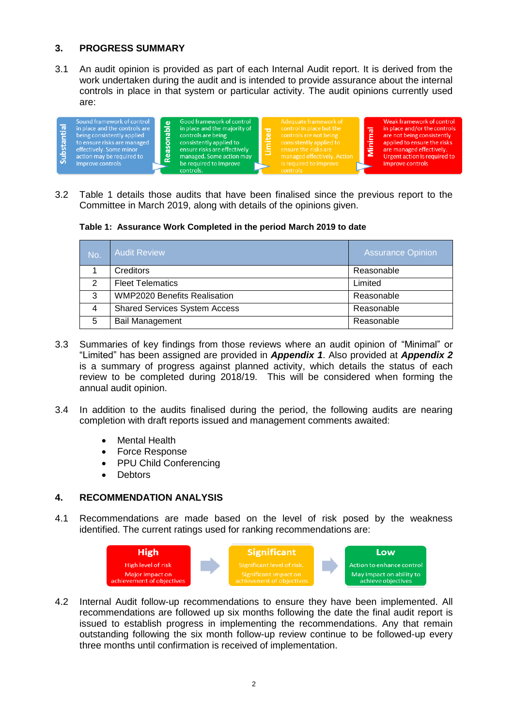## **3. PROGRESS SUMMARY**

3.1 An audit opinion is provided as part of each Internal Audit report. It is derived from the work undertaken during the audit and is intended to provide assurance about the internal controls in place in that system or particular activity. The audit opinions currently used are:

3.2 Table 1 details those audits that have been finalised since the previous report to the Committee in March 2019, along with details of the opinions given.

**Table 1: Assurance Work Completed in the period March 2019 to date**

| No. | <b>Audit Review</b>                  | <b>Assurance Opinion</b> |
|-----|--------------------------------------|--------------------------|
|     | Creditors                            | Reasonable               |
| 2   | <b>Fleet Telematics</b>              | Limited                  |
| 3   | <b>WMP2020 Benefits Realisation</b>  | Reasonable               |
| 4   | <b>Shared Services System Access</b> | Reasonable               |
| 5   | <b>Bail Management</b>               | Reasonable               |

- 3.3 Summaries of key findings from those reviews where an audit opinion of "Minimal" or "Limited" has been assigned are provided in *Appendix 1*. Also provided at *Appendix 2*  is a summary of progress against planned activity, which details the status of each review to be completed during 2018/19. This will be considered when forming the annual audit opinion.
- 3.4 In addition to the audits finalised during the period, the following audits are nearing completion with draft reports issued and management comments awaited:
	- Mental Health
	- Force Response
	- PPU Child Conferencing
	- Debtors

### **4. RECOMMENDATION ANALYSIS**

4.1 Recommendations are made based on the level of risk posed by the weakness identified. The current ratings used for ranking recommendations are:



4.2 Internal Audit follow-up recommendations to ensure they have been implemented. All recommendations are followed up six months following the date the final audit report is issued to establish progress in implementing the recommendations. Any that remain outstanding following the six month follow-up review continue to be followed-up every three months until confirmation is received of implementation.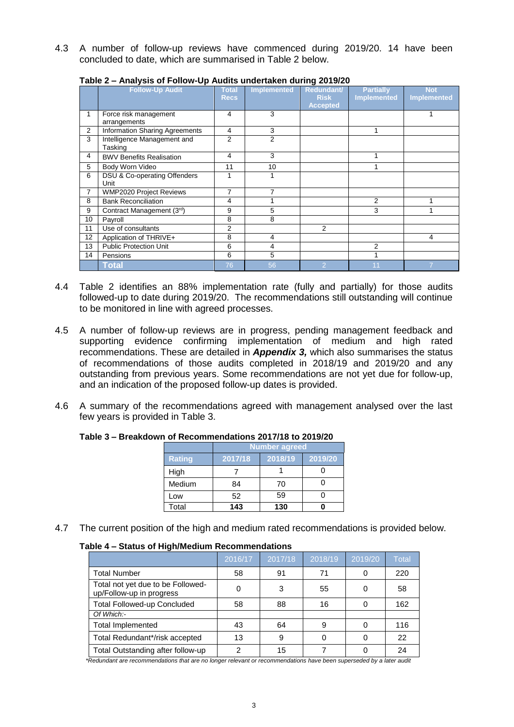4.3 A number of follow-up reviews have commenced during 2019/20. 14 have been concluded to date, which are summarised in Table 2 below.

|                | $1.001$ , $1.001$ , $1.001$ , $1.001$ , $1.001$<br><b>Follow-Up Audit</b> | <b>Total</b><br><b>Recs</b> | <b>Implemented</b> | -ט - ט - ט - ט -<br>Redundant/<br><b>Risk</b> | <b>Partially</b><br><b>Implemented</b> | <b>Not</b><br><b>Implemented</b> |
|----------------|---------------------------------------------------------------------------|-----------------------------|--------------------|-----------------------------------------------|----------------------------------------|----------------------------------|
|                |                                                                           |                             |                    | <b>Accepted</b>                               |                                        |                                  |
|                | Force risk management<br>arrangements                                     | 4                           | 3                  |                                               |                                        |                                  |
| $\overline{2}$ | Information Sharing Agreements                                            | 4                           | 3                  |                                               | 1                                      |                                  |
| 3              | Intelligence Management and<br>Tasking                                    | 2                           | 2                  |                                               |                                        |                                  |
| 4              | <b>BWV Benefits Realisation</b>                                           | 4                           | 3                  |                                               | 1                                      |                                  |
| 5              | Body Worn Video                                                           | 11                          | 10                 |                                               |                                        |                                  |
| 6              | DSU & Co-operating Offenders<br>Unit                                      | 1                           |                    |                                               |                                        |                                  |
| $\overline{7}$ | <b>WMP2020 Project Reviews</b>                                            | 7                           | $\overline{7}$     |                                               |                                        |                                  |
| 8              | <b>Bank Reconciliation</b>                                                | 4                           |                    |                                               | 2                                      |                                  |
| 9              | Contract Management (3rd)                                                 | 9                           | 5                  |                                               | 3                                      |                                  |
| 10             | Payroll                                                                   | 8                           | 8                  |                                               |                                        |                                  |
| 11             | Use of consultants                                                        | $\overline{2}$              |                    | $\overline{2}$                                |                                        |                                  |
| 12             | Application of THRIVE+                                                    | 8                           | 4                  |                                               |                                        | 4                                |
| 13             | <b>Public Protection Unit</b>                                             | 6                           | 4                  |                                               | 2                                      |                                  |
| 14             | Pensions                                                                  | 6                           | 5                  |                                               |                                        |                                  |
|                | Total                                                                     | 76                          | 56                 | 2                                             | 11                                     |                                  |

**Table 2 – Analysis of Follow-Up Audits undertaken during 2019/20**

- 4.4 Table 2 identifies an 88% implementation rate (fully and partially) for those audits followed-up to date during 2019/20. The recommendations still outstanding will continue to be monitored in line with agreed processes.
- 4.5 A number of follow-up reviews are in progress, pending management feedback and supporting evidence confirming implementation of medium and high rated recommendations. These are detailed in *Appendix 3,* which also summarises the status of recommendations of those audits completed in 2018/19 and 2019/20 and any outstanding from previous years. Some recommendations are not yet due for follow-up, and an indication of the proposed follow-up dates is provided.
- 4.6 A summary of the recommendations agreed with management analysed over the last few years is provided in Table 3.

|               | Number agreed |         |         |  |  |  |  |  |  |  |
|---------------|---------------|---------|---------|--|--|--|--|--|--|--|
| <b>Rating</b> | 2017/18       | 2018/19 | 2019/20 |  |  |  |  |  |  |  |
| High          |               |         |         |  |  |  |  |  |  |  |
| Medium        | 84            | 70      |         |  |  |  |  |  |  |  |
| Low           | 52            | 59      |         |  |  |  |  |  |  |  |
| Total         | 143           | 130     |         |  |  |  |  |  |  |  |

### **Table 3 – Breakdown of Recommendations 2017/18 to 2019/20**

4.7 The current position of the high and medium rated recommendations is provided below.

### **Table 4 – Status of High/Medium Recommendations**

|                                                               | 2016/17 | 2017/18 | 2018/19 | 2019/20 | Total |
|---------------------------------------------------------------|---------|---------|---------|---------|-------|
| <b>Total Number</b>                                           | 58      | 91      | 71      |         | 220   |
| Total not yet due to be Followed-<br>up/Follow-up in progress |         | 3       | 55      |         | 58    |
| <b>Total Followed-up Concluded</b>                            | 58      | 88      | 16      |         | 162   |
| Of Which:-                                                    |         |         |         |         |       |
| <b>Total Implemented</b>                                      | 43      | 64      | 9       |         | 116   |
| Total Redundant*/risk accepted                                | 13      | 9       |         |         | 22    |
| Total Outstanding after follow-up                             | 2       | 15      |         |         | 24    |

*\*Redundant are recommendations that are no longer relevant or recommendations have been superseded by a later audit*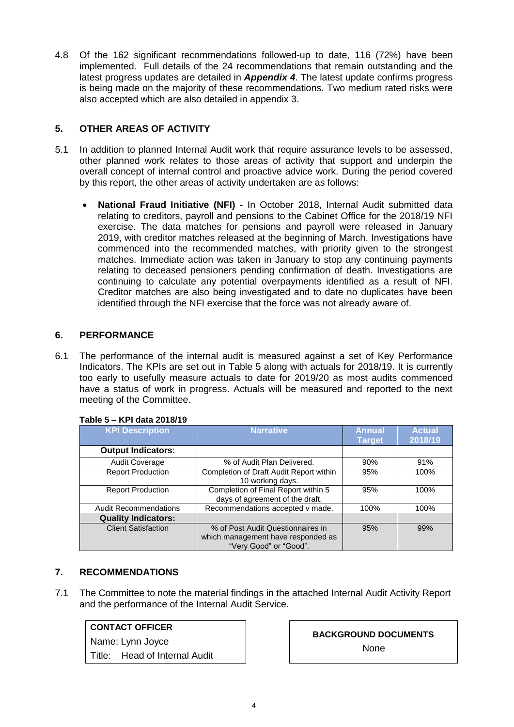4.8 Of the 162 significant recommendations followed-up to date, 116 (72%) have been implemented. Full details of the 24 recommendations that remain outstanding and the latest progress updates are detailed in *Appendix 4*. The latest update confirms progress is being made on the majority of these recommendations. Two medium rated risks were also accepted which are also detailed in appendix 3.

## **5. OTHER AREAS OF ACTIVITY**

- 5.1 In addition to planned Internal Audit work that require assurance levels to be assessed, other planned work relates to those areas of activity that support and underpin the overall concept of internal control and proactive advice work. During the period covered by this report, the other areas of activity undertaken are as follows:
	- **National Fraud Initiative (NFI) -** In October 2018, Internal Audit submitted data relating to creditors, payroll and pensions to the Cabinet Office for the 2018/19 NFI exercise. The data matches for pensions and payroll were released in January 2019, with creditor matches released at the beginning of March. Investigations have commenced into the recommended matches, with priority given to the strongest matches. Immediate action was taken in January to stop any continuing payments relating to deceased pensioners pending confirmation of death. Investigations are continuing to calculate any potential overpayments identified as a result of NFI. Creditor matches are also being investigated and to date no duplicates have been identified through the NFI exercise that the force was not already aware of.

## **6. PERFORMANCE**

6.1 The performance of the internal audit is measured against a set of Key Performance Indicators. The KPIs are set out in Table 5 along with actuals for 2018/19. It is currently too early to usefully measure actuals to date for 2019/20 as most audits commenced have a status of work in progress. Actuals will be measured and reported to the next meeting of the Committee.

| <b>KPI Description</b>       | <b>Narrative</b>                                                                                  | <b>Annual</b><br><b>Target</b> | <b>Actual</b><br>2018/19 |
|------------------------------|---------------------------------------------------------------------------------------------------|--------------------------------|--------------------------|
| <b>Output Indicators:</b>    |                                                                                                   |                                |                          |
| <b>Audit Coverage</b>        | % of Audit Plan Delivered.                                                                        | 90%                            | 91%                      |
| <b>Report Production</b>     | Completion of Draft Audit Report within<br>10 working days.                                       | 95%                            | 100%                     |
| <b>Report Production</b>     | Completion of Final Report within 5<br>days of agreement of the draft.                            | 95%                            | 100%                     |
| <b>Audit Recommendations</b> | Recommendations accepted v made.                                                                  | 100%                           | 100%                     |
| <b>Quality Indicators:</b>   |                                                                                                   |                                |                          |
| <b>Client Satisfaction</b>   | % of Post Audit Questionnaires in<br>which management have responded as<br>"Very Good" or "Good". | 95%                            | 99%                      |

### **Table 5 – KPI data 2018/19**

## **7. RECOMMENDATIONS**

7.1 The Committee to note the material findings in the attached Internal Audit Activity Report and the performance of the Internal Audit Service.

### **CONTACT OFFICER**

Name: Lynn Joyce

Title: Head of Internal Audit

**BACKGROUND DOCUMENTS** None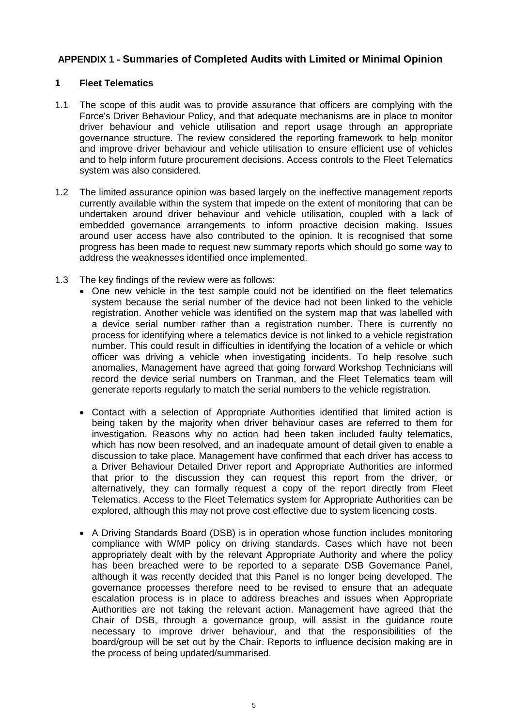## **APPENDIX 1 - Summaries of Completed Audits with Limited or Minimal Opinion**

### **1 Fleet Telematics**

- 1.1 The scope of this audit was to provide assurance that officers are complying with the Force's Driver Behaviour Policy, and that adequate mechanisms are in place to monitor driver behaviour and vehicle utilisation and report usage through an appropriate governance structure. The review considered the reporting framework to help monitor and improve driver behaviour and vehicle utilisation to ensure efficient use of vehicles and to help inform future procurement decisions. Access controls to the Fleet Telematics system was also considered.
- 1.2 The limited assurance opinion was based largely on the ineffective management reports currently available within the system that impede on the extent of monitoring that can be undertaken around driver behaviour and vehicle utilisation, coupled with a lack of embedded governance arrangements to inform proactive decision making. Issues around user access have also contributed to the opinion. It is recognised that some progress has been made to request new summary reports which should go some way to address the weaknesses identified once implemented.
- 1.3 The key findings of the review were as follows:
	- One new vehicle in the test sample could not be identified on the fleet telematics system because the serial number of the device had not been linked to the vehicle registration. Another vehicle was identified on the system map that was labelled with a device serial number rather than a registration number. There is currently no process for identifying where a telematics device is not linked to a vehicle registration number. This could result in difficulties in identifying the location of a vehicle or which officer was driving a vehicle when investigating incidents. To help resolve such anomalies, Management have agreed that going forward Workshop Technicians will record the device serial numbers on Tranman, and the Fleet Telematics team will generate reports regularly to match the serial numbers to the vehicle registration.
	- Contact with a selection of Appropriate Authorities identified that limited action is being taken by the majority when driver behaviour cases are referred to them for investigation. Reasons why no action had been taken included faulty telematics, which has now been resolved, and an inadequate amount of detail given to enable a discussion to take place. Management have confirmed that each driver has access to a Driver Behaviour Detailed Driver report and Appropriate Authorities are informed that prior to the discussion they can request this report from the driver, or alternatively, they can formally request a copy of the report directly from Fleet Telematics. Access to the Fleet Telematics system for Appropriate Authorities can be explored, although this may not prove cost effective due to system licencing costs.
	- A Driving Standards Board (DSB) is in operation whose function includes monitoring compliance with WMP policy on driving standards. Cases which have not been appropriately dealt with by the relevant Appropriate Authority and where the policy has been breached were to be reported to a separate DSB Governance Panel, although it was recently decided that this Panel is no longer being developed. The governance processes therefore need to be revised to ensure that an adequate escalation process is in place to address breaches and issues when Appropriate Authorities are not taking the relevant action. Management have agreed that the Chair of DSB, through a governance group, will assist in the guidance route necessary to improve driver behaviour, and that the responsibilities of the board/group will be set out by the Chair. Reports to influence decision making are in the process of being updated/summarised.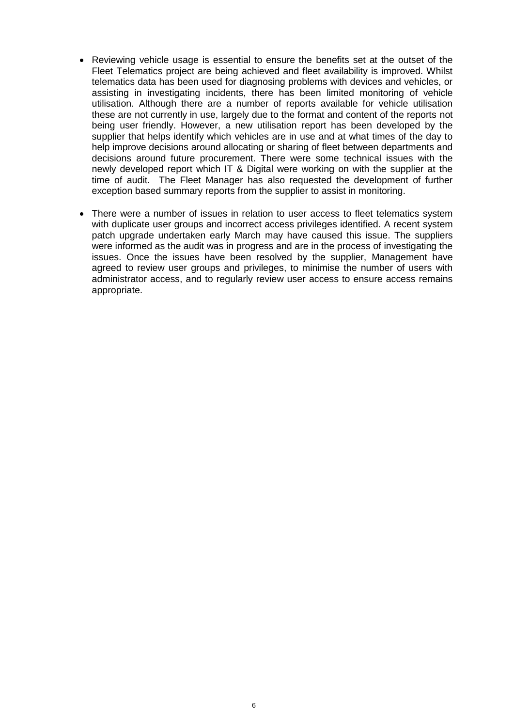- Reviewing vehicle usage is essential to ensure the benefits set at the outset of the Fleet Telematics project are being achieved and fleet availability is improved. Whilst telematics data has been used for diagnosing problems with devices and vehicles, or assisting in investigating incidents, there has been limited monitoring of vehicle utilisation. Although there are a number of reports available for vehicle utilisation these are not currently in use, largely due to the format and content of the reports not being user friendly. However, a new utilisation report has been developed by the supplier that helps identify which vehicles are in use and at what times of the day to help improve decisions around allocating or sharing of fleet between departments and decisions around future procurement. There were some technical issues with the newly developed report which IT & Digital were working on with the supplier at the time of audit. The Fleet Manager has also requested the development of further exception based summary reports from the supplier to assist in monitoring.
- There were a number of issues in relation to user access to fleet telematics system with duplicate user groups and incorrect access privileges identified. A recent system patch upgrade undertaken early March may have caused this issue. The suppliers were informed as the audit was in progress and are in the process of investigating the issues. Once the issues have been resolved by the supplier, Management have agreed to review user groups and privileges, to minimise the number of users with administrator access, and to regularly review user access to ensure access remains appropriate.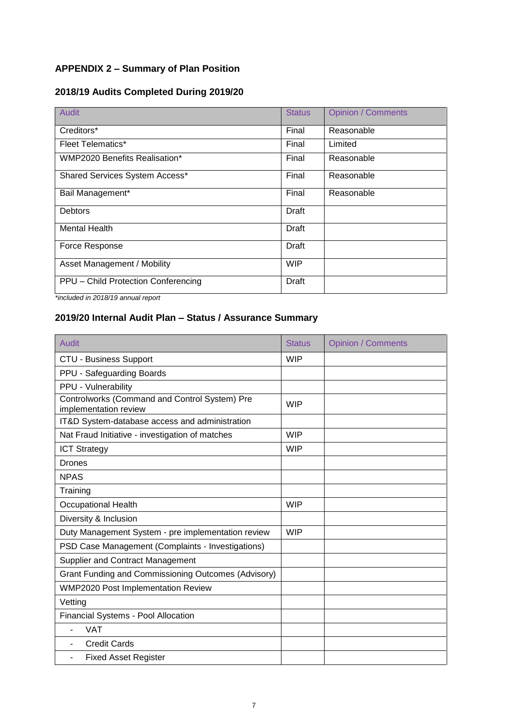## **APPENDIX 2 – Summary of Plan Position**

## **2018/19 Audits Completed During 2019/20**

| Audit                                | <b>Status</b> | <b>Opinion / Comments</b> |
|--------------------------------------|---------------|---------------------------|
| Creditors*                           | Final         | Reasonable                |
| <b>Fleet Telematics*</b>             | Final         | Limited                   |
| <b>WMP2020 Benefits Realisation*</b> | Final         | Reasonable                |
| Shared Services System Access*       | Final         | Reasonable                |
| Bail Management*                     | Final         | Reasonable                |
| <b>Debtors</b>                       | Draft         |                           |
| <b>Mental Health</b>                 | Draft         |                           |
| Force Response                       | Draft         |                           |
| Asset Management / Mobility          | <b>WIP</b>    |                           |
| PPU - Child Protection Conferencing  | <b>Draft</b>  |                           |

*\*included in 2018/19 annual report*

## **2019/20 Internal Audit Plan – Status / Assurance Summary**

| Audit                                                                  | <b>Status</b> | <b>Opinion / Comments</b> |
|------------------------------------------------------------------------|---------------|---------------------------|
| <b>CTU - Business Support</b>                                          | <b>WIP</b>    |                           |
| PPU - Safeguarding Boards                                              |               |                           |
| PPU - Vulnerability                                                    |               |                           |
| Controlworks (Command and Control System) Pre<br>implementation review | <b>WIP</b>    |                           |
| IT&D System-database access and administration                         |               |                           |
| Nat Fraud Initiative - investigation of matches                        | <b>WIP</b>    |                           |
| <b>ICT Strategy</b>                                                    | <b>WIP</b>    |                           |
| Drones                                                                 |               |                           |
| <b>NPAS</b>                                                            |               |                           |
| Training                                                               |               |                           |
| <b>Occupational Health</b>                                             | <b>WIP</b>    |                           |
| Diversity & Inclusion                                                  |               |                           |
| Duty Management System - pre implementation review                     | <b>WIP</b>    |                           |
| PSD Case Management (Complaints - Investigations)                      |               |                           |
| <b>Supplier and Contract Management</b>                                |               |                           |
| Grant Funding and Commissioning Outcomes (Advisory)                    |               |                           |
| <b>WMP2020 Post Implementation Review</b>                              |               |                           |
| Vetting                                                                |               |                           |
| Financial Systems - Pool Allocation                                    |               |                           |
| <b>VAT</b>                                                             |               |                           |
| <b>Credit Cards</b>                                                    |               |                           |
| <b>Fixed Asset Register</b><br>L,                                      |               |                           |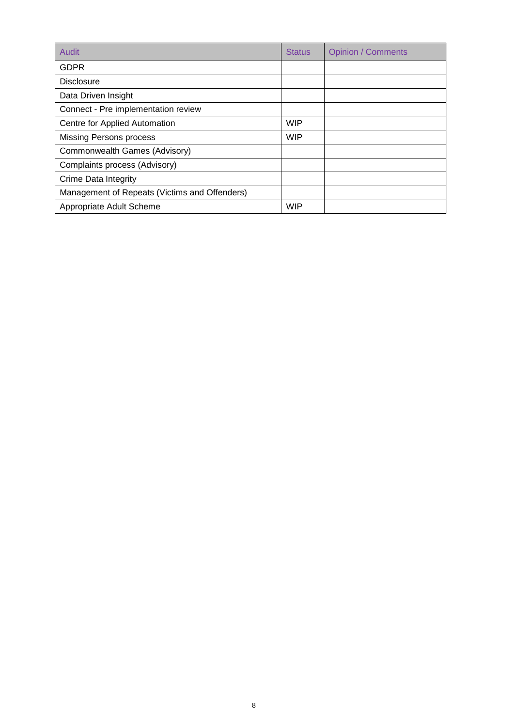| Audit                                         | <b>Status</b> | <b>Opinion / Comments</b> |
|-----------------------------------------------|---------------|---------------------------|
| <b>GDPR</b>                                   |               |                           |
| <b>Disclosure</b>                             |               |                           |
| Data Driven Insight                           |               |                           |
| Connect - Pre implementation review           |               |                           |
| Centre for Applied Automation                 | <b>WIP</b>    |                           |
| <b>Missing Persons process</b>                | <b>WIP</b>    |                           |
| Commonwealth Games (Advisory)                 |               |                           |
| Complaints process (Advisory)                 |               |                           |
| Crime Data Integrity                          |               |                           |
| Management of Repeats (Victims and Offenders) |               |                           |
| Appropriate Adult Scheme                      | <b>WIP</b>    |                           |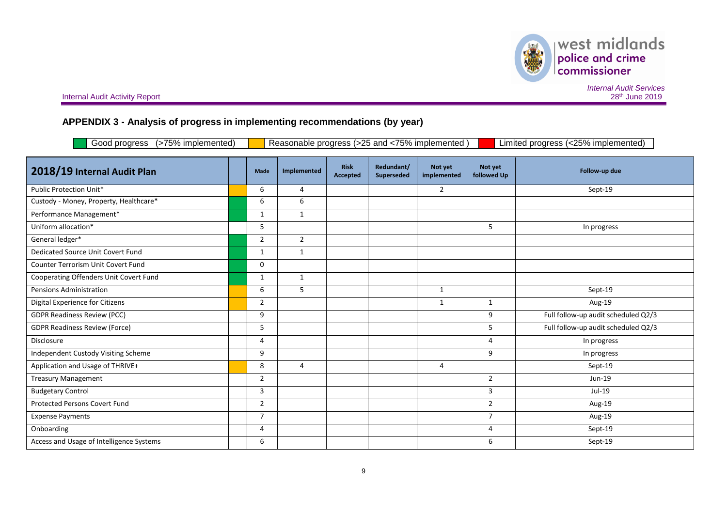## **APPENDIX 3 - Analysis of progress in implementing recommendations (by year)**

| Good progress (>75% implemented)<br>Reasonable progress (>25 and <75% implemented)<br>Limited progress (<25% implemented) |  |                |                |                         |                          |                        |                        |                                     |
|---------------------------------------------------------------------------------------------------------------------------|--|----------------|----------------|-------------------------|--------------------------|------------------------|------------------------|-------------------------------------|
| 2018/19 Internal Audit Plan                                                                                               |  | Made           | Implemented    | <b>Risk</b><br>Accepted | Redundant/<br>Superseded | Not yet<br>implemented | Not yet<br>followed Up | Follow-up due                       |
| Public Protection Unit*                                                                                                   |  | 6              | 4              |                         |                          | $\overline{2}$         |                        | Sept-19                             |
| Custody - Money, Property, Healthcare*                                                                                    |  | 6              | 6              |                         |                          |                        |                        |                                     |
| Performance Management*                                                                                                   |  | $\mathbf{1}$   | $\mathbf{1}$   |                         |                          |                        |                        |                                     |
| Uniform allocation*                                                                                                       |  | 5              |                |                         |                          |                        | 5                      | In progress                         |
| General ledger*                                                                                                           |  | $\overline{2}$ | $\overline{2}$ |                         |                          |                        |                        |                                     |
| Dedicated Source Unit Covert Fund                                                                                         |  | $\mathbf{1}$   | $\mathbf{1}$   |                         |                          |                        |                        |                                     |
| Counter Terrorism Unit Covert Fund                                                                                        |  | 0              |                |                         |                          |                        |                        |                                     |
| Cooperating Offenders Unit Covert Fund                                                                                    |  | 1              | $\mathbf{1}$   |                         |                          |                        |                        |                                     |
| Pensions Administration                                                                                                   |  | 6              | 5              |                         |                          | 1                      |                        | Sept-19                             |
| Digital Experience for Citizens                                                                                           |  | $\overline{2}$ |                |                         |                          | 1                      | $\mathbf{1}$           | Aug-19                              |
| <b>GDPR Readiness Review (PCC)</b>                                                                                        |  | 9              |                |                         |                          |                        | 9                      | Full follow-up audit scheduled Q2/3 |
| <b>GDPR Readiness Review (Force)</b>                                                                                      |  | 5              |                |                         |                          |                        | 5                      | Full follow-up audit scheduled Q2/3 |
| Disclosure                                                                                                                |  | 4              |                |                         |                          |                        | 4                      | In progress                         |
| <b>Independent Custody Visiting Scheme</b>                                                                                |  | 9              |                |                         |                          |                        | 9                      | In progress                         |
| Application and Usage of THRIVE+                                                                                          |  | 8              | 4              |                         |                          | 4                      |                        | Sept-19                             |
| <b>Treasury Management</b>                                                                                                |  | $\overline{2}$ |                |                         |                          |                        | $\overline{2}$         | Jun-19                              |
| <b>Budgetary Control</b>                                                                                                  |  | 3              |                |                         |                          |                        | 3                      | Jul-19                              |
| <b>Protected Persons Covert Fund</b>                                                                                      |  | $\overline{2}$ |                |                         |                          |                        | $\overline{2}$         | Aug-19                              |
| <b>Expense Payments</b>                                                                                                   |  | $\overline{7}$ |                |                         |                          |                        | $\overline{7}$         | Aug-19                              |
| Onboarding                                                                                                                |  | 4              |                |                         |                          |                        | 4                      | Sept-19                             |
| Access and Usage of Intelligence Systems                                                                                  |  | 6              |                |                         |                          |                        | 6                      | Sept-19                             |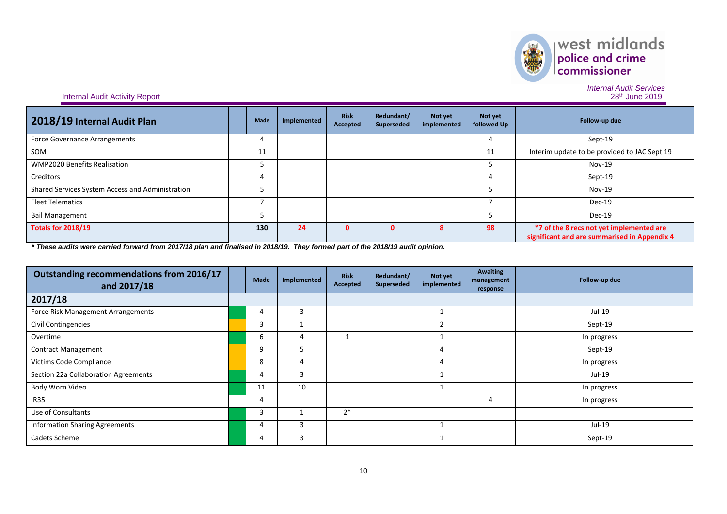

*Internal Audit Services*

### **Internal Audit Activity Report**

| 2018/19 Internal Audit Plan                      | Made | Implemented | <b>Risk</b><br>Accepted | Redundant/<br>Superseded | Not yet<br>implemented | Not yet<br>followed Up | Follow-up due                                                                            |
|--------------------------------------------------|------|-------------|-------------------------|--------------------------|------------------------|------------------------|------------------------------------------------------------------------------------------|
| <b>Force Governance Arrangements</b>             | 4    |             |                         |                          |                        |                        | Sept-19                                                                                  |
| SOM                                              | 11   |             |                         |                          |                        | 11                     | Interim update to be provided to JAC Sept 19                                             |
| <b>WMP2020 Benefits Realisation</b>              |      |             |                         |                          |                        |                        | <b>Nov-19</b>                                                                            |
| Creditors                                        |      |             |                         |                          |                        |                        | Sept-19                                                                                  |
| Shared Services System Access and Administration |      |             |                         |                          |                        |                        | <b>Nov-19</b>                                                                            |
| <b>Fleet Telematics</b>                          |      |             |                         |                          |                        |                        | Dec-19                                                                                   |
| <b>Bail Management</b>                           |      |             |                         |                          |                        |                        | Dec-19                                                                                   |
| <b>Totals for 2018/19</b>                        | 130  | 24          | 0                       | n                        | 8                      | 98                     | *7 of the 8 recs not yet implemented are<br>significant and are summarised in Appendix 4 |

*\* These audits were carried forward from 2017/18 plan and finalised in 2018/19. They formed part of the 2018/19 audit opinion.*

| Outstanding recommendations from 2016/17<br>and 2017/18 | <b>Made</b> | Implemented | <b>Risk</b><br>Accepted | Redundant/<br><b>Superseded</b> | Not yet<br>implemented | <b>Awaiting</b><br>management<br>response | Follow-up due |
|---------------------------------------------------------|-------------|-------------|-------------------------|---------------------------------|------------------------|-------------------------------------------|---------------|
| 2017/18                                                 |             |             |                         |                                 |                        |                                           |               |
| Force Risk Management Arrangements                      |             | 3           |                         |                                 |                        |                                           | Jul-19        |
| <b>Civil Contingencies</b>                              | 3           |             |                         |                                 | $\overline{2}$         |                                           | Sept-19       |
| Overtime                                                | 6           | 4           |                         |                                 |                        |                                           | In progress   |
| <b>Contract Management</b>                              | 9           | כ           |                         |                                 | 4                      |                                           | Sept-19       |
| Victims Code Compliance                                 | 8           | 4           |                         |                                 | 4                      |                                           | In progress   |
| Section 22a Collaboration Agreements                    | 4           | 3           |                         |                                 |                        |                                           | Jul-19        |
| Body Worn Video                                         | 11          | 10          |                         |                                 | $\mathbf{1}$           |                                           | In progress   |
| <b>IR35</b>                                             | 4           |             |                         |                                 |                        | 4                                         | In progress   |
| Use of Consultants                                      | 3           |             | $2*$                    |                                 |                        |                                           |               |
| <b>Information Sharing Agreements</b>                   | 4           | 3           |                         |                                 |                        |                                           | Jul-19        |
| Cadets Scheme                                           | 4           | 3           |                         |                                 |                        |                                           | Sept-19       |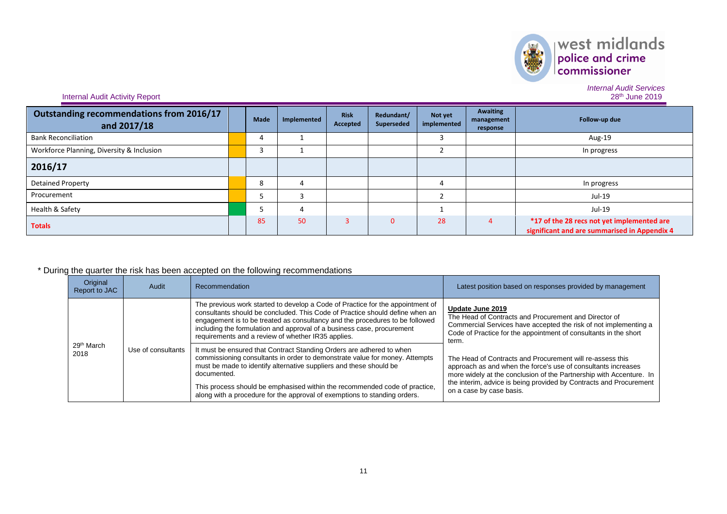

*Internal Audit Services*

**Internal Audit Activity Report** 

| Outstanding recommendations from 2016/17<br>and 2017/18 | <b>Made</b> | Implemented | <b>Risk</b><br>Accepted | Redundant/<br>Superseded | Not yet<br>implemented | <b>Awaiting</b><br>management<br>response | Follow-up due                                                                              |
|---------------------------------------------------------|-------------|-------------|-------------------------|--------------------------|------------------------|-------------------------------------------|--------------------------------------------------------------------------------------------|
| <b>Bank Reconciliation</b>                              | 4           |             |                         |                          |                        |                                           | Aug-19                                                                                     |
| Workforce Planning, Diversity & Inclusion               |             |             |                         |                          |                        |                                           | In progress                                                                                |
| 2016/17                                                 |             |             |                         |                          |                        |                                           |                                                                                            |
| <b>Detained Property</b>                                | ٥           |             |                         |                          |                        |                                           | In progress                                                                                |
| Procurement                                             |             |             |                         |                          |                        |                                           | Jul-19                                                                                     |
| Health & Safety                                         |             |             |                         |                          |                        |                                           | Jul-19                                                                                     |
| <b>Totals</b>                                           | 85          | 50          |                         |                          | 28                     |                                           | *17 of the 28 recs not yet implemented are<br>significant and are summarised in Appendix 4 |

## \* During the quarter the risk has been accepted on the following recommendations

| Original<br>Report to JAC      | Audit              | Recommendation                                                                                                                                                                                                                                                                                                                                                                                      | Latest position based on responses provided by management                                                                                                                                                                                                                                           |
|--------------------------------|--------------------|-----------------------------------------------------------------------------------------------------------------------------------------------------------------------------------------------------------------------------------------------------------------------------------------------------------------------------------------------------------------------------------------------------|-----------------------------------------------------------------------------------------------------------------------------------------------------------------------------------------------------------------------------------------------------------------------------------------------------|
|                                |                    | The previous work started to develop a Code of Practice for the appointment of<br>consultants should be concluded. This Code of Practice should define when an<br>engagement is to be treated as consultancy and the procedures to be followed<br>including the formulation and approval of a business case, procurement<br>requirements and a review of whether IR35 applies.                      | Update June 2019<br>The Head of Contracts and Procurement and Director of<br>Commercial Services have accepted the risk of not implementing a<br>Code of Practice for the appointment of consultants in the short<br>term.                                                                          |
| 29 <sup>th</sup> March<br>2018 | Use of consultants | It must be ensured that Contract Standing Orders are adhered to when<br>commissioning consultants in order to demonstrate value for money. Attempts<br>must be made to identify alternative suppliers and these should be<br>documented.<br>This process should be emphasised within the recommended code of practice,<br>along with a procedure for the approval of exemptions to standing orders. | The Head of Contracts and Procurement will re-assess this<br>approach as and when the force's use of consultants increases<br>more widely at the conclusion of the Partnership with Accenture. In<br>the interim, advice is being provided by Contracts and Procurement<br>on a case by case basis. |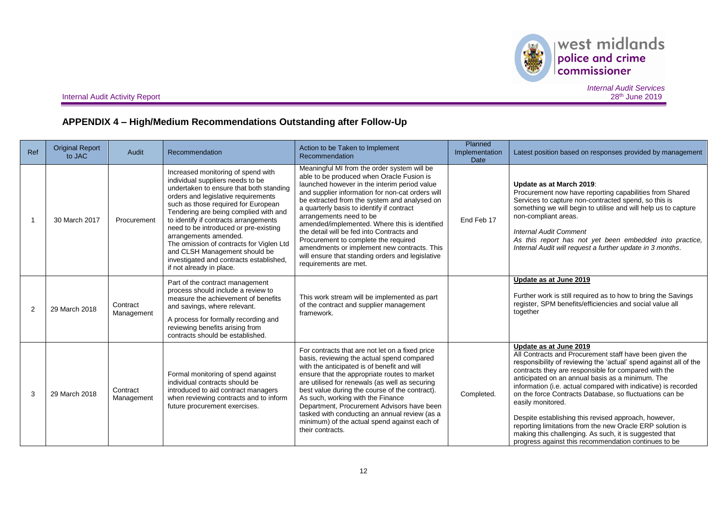

west midlands police and crime<br>commissioner

**Internal Audit Activity Report** 

*Internal Audit Services*

## **APPENDIX 4 – High/Medium Recommendations Outstanding after Follow-Up**

| Ref | <b>Original Report</b><br>to JAC | Audit                  | Recommendation                                                                                                                                                                                                                                                                                                                                                                                                                                                                                          | Action to be Taken to Implement<br>Recommendation                                                                                                                                                                                                                                                                                                                                                                                                                                                                                                                                      | Planned<br>Implementation<br><b>Date</b> | Latest position based on responses provided by management                                                                                                                                                                                                                                                                                                                                                                                                                                                                                                                                                                                                   |
|-----|----------------------------------|------------------------|---------------------------------------------------------------------------------------------------------------------------------------------------------------------------------------------------------------------------------------------------------------------------------------------------------------------------------------------------------------------------------------------------------------------------------------------------------------------------------------------------------|----------------------------------------------------------------------------------------------------------------------------------------------------------------------------------------------------------------------------------------------------------------------------------------------------------------------------------------------------------------------------------------------------------------------------------------------------------------------------------------------------------------------------------------------------------------------------------------|------------------------------------------|-------------------------------------------------------------------------------------------------------------------------------------------------------------------------------------------------------------------------------------------------------------------------------------------------------------------------------------------------------------------------------------------------------------------------------------------------------------------------------------------------------------------------------------------------------------------------------------------------------------------------------------------------------------|
|     | 30 March 2017                    | Procurement            | Increased monitoring of spend with<br>individual suppliers needs to be<br>undertaken to ensure that both standing<br>orders and legislative requirements<br>such as those required for European<br>Tendering are being complied with and<br>to identify if contracts arrangements<br>need to be introduced or pre-existing<br>arrangements amended.<br>The omission of contracts for Viglen Ltd<br>and CLSH Management should be<br>investigated and contracts established,<br>if not already in place. | Meaningful MI from the order system will be<br>able to be produced when Oracle Fusion is<br>launched however in the interim period value<br>and supplier information for non-cat orders will<br>be extracted from the system and analysed on<br>a quarterly basis to identify if contract<br>arrangements need to be<br>amended/implemented. Where this is identified<br>the detail will be fed into Contracts and<br>Procurement to complete the required<br>amendments or implement new contracts. This<br>will ensure that standing orders and legislative<br>requirements are met. | End Feb 17                               | Update as at March 2019:<br>Procurement now have reporting capabilities from Shared<br>Services to capture non-contracted spend, so this is<br>something we will begin to utilise and will help us to capture<br>non-compliant areas.<br><b>Internal Audit Comment</b><br>As this report has not yet been embedded into practice,<br>Internal Audit will request a further update in 3 months.                                                                                                                                                                                                                                                              |
| 2   | 29 March 2018                    | Contract<br>Management | Part of the contract management<br>process should include a review to<br>measure the achievement of benefits<br>and savings, where relevant.<br>A process for formally recording and<br>reviewing benefits arising from<br>contracts should be established.                                                                                                                                                                                                                                             | This work stream will be implemented as part<br>of the contract and supplier management<br>framework.                                                                                                                                                                                                                                                                                                                                                                                                                                                                                  |                                          | Update as at June 2019<br>Further work is still required as to how to bring the Savings<br>register, SPM benefits/efficiencies and social value all<br>together                                                                                                                                                                                                                                                                                                                                                                                                                                                                                             |
| 3   | 29 March 2018                    | Contract<br>Management | Formal monitoring of spend against<br>individual contracts should be<br>introduced to aid contract managers<br>when reviewing contracts and to inform<br>future procurement exercises.                                                                                                                                                                                                                                                                                                                  | For contracts that are not let on a fixed price<br>basis, reviewing the actual spend compared<br>with the anticipated is of benefit and will<br>ensure that the appropriate routes to market<br>are utilised for renewals (as well as securing<br>best value during the course of the contract).<br>As such, working with the Finance<br>Department, Procurement Advisors have been<br>tasked with conducting an annual review (as a<br>minimum) of the actual spend against each of<br>their contracts.                                                                               | Completed.                               | Update as at June 2019<br>All Contracts and Procurement staff have been given the<br>responsibility of reviewing the 'actual' spend against all of the<br>contracts they are responsible for compared with the<br>anticipated on an annual basis as a minimum. The<br>information (i.e. actual compared with indicative) is recorded<br>on the force Contracts Database, so fluctuations can be<br>easily monitored.<br>Despite establishing this revised approach, however,<br>reporting limitations from the new Oracle ERP solution is<br>making this challenging. As such, it is suggested that<br>progress against this recommendation continues to be |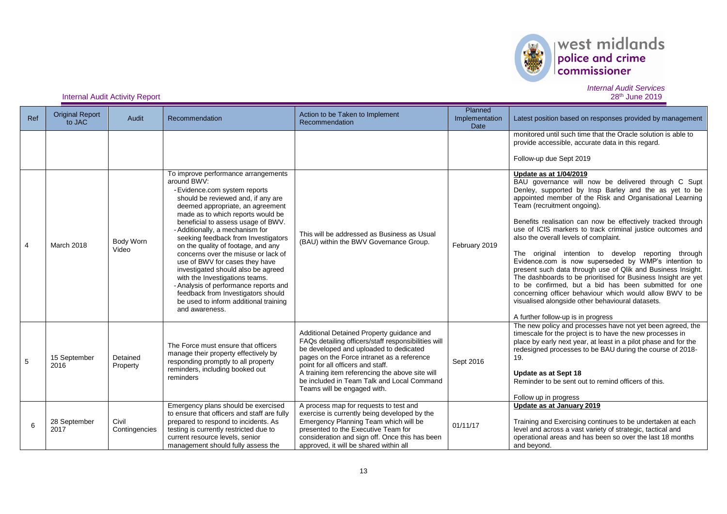

## *Internal Audit Services*

| Ref            | <b>Original Report</b><br>to JAC | Audit                  | Recommendation                                                                                                                                                                                                                                                                                                                                                                                                                                                                                                                                                                                                                                      | Action to be Taken to Implement<br>Recommendation                                                                                                                                                                                                                                                                                                             | Planned<br>Implementation<br>Date | Latest position based on responses provided by management                                                                                                                                                                                                                                                                                                                                                                                                                                                                                                                                                                                                                                                                                                                                                                                                             |
|----------------|----------------------------------|------------------------|-----------------------------------------------------------------------------------------------------------------------------------------------------------------------------------------------------------------------------------------------------------------------------------------------------------------------------------------------------------------------------------------------------------------------------------------------------------------------------------------------------------------------------------------------------------------------------------------------------------------------------------------------------|---------------------------------------------------------------------------------------------------------------------------------------------------------------------------------------------------------------------------------------------------------------------------------------------------------------------------------------------------------------|-----------------------------------|-----------------------------------------------------------------------------------------------------------------------------------------------------------------------------------------------------------------------------------------------------------------------------------------------------------------------------------------------------------------------------------------------------------------------------------------------------------------------------------------------------------------------------------------------------------------------------------------------------------------------------------------------------------------------------------------------------------------------------------------------------------------------------------------------------------------------------------------------------------------------|
|                |                                  |                        |                                                                                                                                                                                                                                                                                                                                                                                                                                                                                                                                                                                                                                                     |                                                                                                                                                                                                                                                                                                                                                               |                                   | monitored until such time that the Oracle solution is able to<br>provide accessible, accurate data in this regard.<br>Follow-up due Sept 2019                                                                                                                                                                                                                                                                                                                                                                                                                                                                                                                                                                                                                                                                                                                         |
| $\overline{4}$ | <b>March 2018</b>                | Body Worn<br>Video     | To improve performance arrangements<br>around BWV:<br>- Evidence.com system reports<br>should be reviewed and, if any are<br>deemed appropriate, an agreement<br>made as to which reports would be<br>beneficial to assess usage of BWV.<br>- Additionally, a mechanism for<br>seeking feedback from Investigators<br>on the quality of footage, and any<br>concerns over the misuse or lack of<br>use of BWV for cases they have<br>investigated should also be agreed<br>with the Investigations teams.<br>- Analysis of performance reports and<br>feedback from Investigators should<br>be used to inform additional training<br>and awareness. | This will be addressed as Business as Usual<br>(BAU) within the BWV Governance Group.                                                                                                                                                                                                                                                                         | February 2019                     | Update as at 1/04/2019<br>BAU governance will now be delivered through C Supt<br>Denley, supported by Insp Barley and the as yet to be<br>appointed member of the Risk and Organisational Learning<br>Team (recruitment ongoing).<br>Benefits realisation can now be effectively tracked through<br>use of ICIS markers to track criminal justice outcomes and<br>also the overall levels of complaint.<br>The original intention to develop reporting through<br>Evidence.com is now superseded by WMP's intention to<br>present such data through use of Qlik and Business Insight.<br>The dashboards to be prioritised for Business Insight are yet<br>to be confirmed, but a bid has been submitted for one<br>concerning officer behaviour which would allow BWV to be<br>visualised alongside other behavioural datasets.<br>A further follow-up is in progress |
| 5              | 15 September<br>2016             | Detained<br>Property   | The Force must ensure that officers<br>manage their property effectively by<br>responding promptly to all property<br>reminders, including booked out<br>reminders                                                                                                                                                                                                                                                                                                                                                                                                                                                                                  | Additional Detained Property guidance and<br>FAQs detailing officers/staff responsibilities will<br>be developed and uploaded to dedicated<br>pages on the Force intranet as a reference<br>point for all officers and staff.<br>A training item referencing the above site will<br>be included in Team Talk and Local Command<br>Teams will be engaged with. | Sept 2016                         | The new policy and processes have not yet been agreed, the<br>timescale for the project is to have the new processes in<br>place by early next year, at least in a pilot phase and for the<br>redesigned processes to be BAU during the course of 2018-<br>19.<br>Update as at Sept 18<br>Reminder to be sent out to remind officers of this.<br>Follow up in progress                                                                                                                                                                                                                                                                                                                                                                                                                                                                                                |
| 6              | 28 September<br>2017             | Civil<br>Contingencies | Emergency plans should be exercised<br>to ensure that officers and staff are fully<br>prepared to respond to incidents. As<br>testing is currently restricted due to<br>current resource levels, senior<br>management should fully assess the                                                                                                                                                                                                                                                                                                                                                                                                       | A process map for requests to test and<br>exercise is currently being developed by the<br>Emergency Planning Team which will be<br>presented to the Executive Team for<br>consideration and sign off. Once this has been<br>approved, it will be shared within all                                                                                            | 01/11/17                          | Update as at January 2019<br>Training and Exercising continues to be undertaken at each<br>level and across a vast variety of strategic, tactical and<br>operational areas and has been so over the last 18 months<br>and beyond.                                                                                                                                                                                                                                                                                                                                                                                                                                                                                                                                                                                                                                     |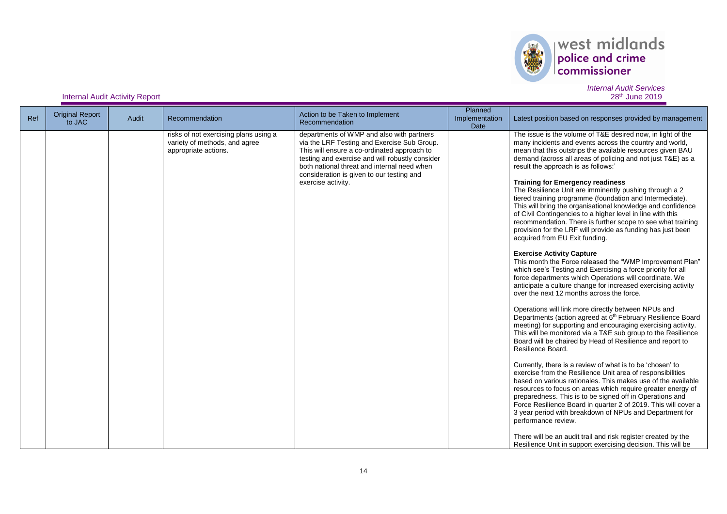

## *Internal Audit Services*

| Ref | <b>Original Report</b><br>to JAC | Audit | Recommendation                                                                                 | Action to be Taken to Implement<br>Recommendation                                                                                                                                                                                                                                                            | Planned<br>Implementation<br>Date | Latest position based on responses provided by management                                                                                                                                                                                                                                                                                                                                                                                                                                                                                                                                                                                                                                                                                                                                                                                                                                                                                                                                                                                                                                                                                                                                                                                                                                                                                                                                                                                                                                                                                                                                                                                                                                                                                                                                                                                                                                                                                                                                                                                                      |
|-----|----------------------------------|-------|------------------------------------------------------------------------------------------------|--------------------------------------------------------------------------------------------------------------------------------------------------------------------------------------------------------------------------------------------------------------------------------------------------------------|-----------------------------------|----------------------------------------------------------------------------------------------------------------------------------------------------------------------------------------------------------------------------------------------------------------------------------------------------------------------------------------------------------------------------------------------------------------------------------------------------------------------------------------------------------------------------------------------------------------------------------------------------------------------------------------------------------------------------------------------------------------------------------------------------------------------------------------------------------------------------------------------------------------------------------------------------------------------------------------------------------------------------------------------------------------------------------------------------------------------------------------------------------------------------------------------------------------------------------------------------------------------------------------------------------------------------------------------------------------------------------------------------------------------------------------------------------------------------------------------------------------------------------------------------------------------------------------------------------------------------------------------------------------------------------------------------------------------------------------------------------------------------------------------------------------------------------------------------------------------------------------------------------------------------------------------------------------------------------------------------------------------------------------------------------------------------------------------------------------|
|     |                                  |       | risks of not exercising plans using a<br>variety of methods, and agree<br>appropriate actions. | departments of WMP and also with partners<br>via the LRF Testing and Exercise Sub Group.<br>This will ensure a co-ordinated approach to<br>testing and exercise and will robustly consider<br>both national threat and internal need when<br>consideration is given to our testing and<br>exercise activity. |                                   | The issue is the volume of T&E desired now, in light of the<br>many incidents and events across the country and world,<br>mean that this outstrips the available resources given BAU<br>demand (across all areas of policing and not just T&E) as a<br>result the approach is as follows:'<br><b>Training for Emergency readiness</b><br>The Resilience Unit are imminently pushing through a 2<br>tiered training programme (foundation and Intermediate).<br>This will bring the organisational knowledge and confidence<br>of Civil Contingencies to a higher level in line with this<br>recommendation. There is further scope to see what training<br>provision for the LRF will provide as funding has just been<br>acquired from EU Exit funding.<br><b>Exercise Activity Capture</b><br>This month the Force released the "WMP Improvement Plan"<br>which see's Testing and Exercising a force priority for all<br>force departments which Operations will coordinate. We<br>anticipate a culture change for increased exercising activity<br>over the next 12 months across the force.<br>Operations will link more directly between NPUs and<br>Departments (action agreed at 6 <sup>th</sup> February Resilience Board<br>meeting) for supporting and encouraging exercising activity.<br>This will be monitored via a T&E sub group to the Resilience<br>Board will be chaired by Head of Resilience and report to<br>Resilience Board.<br>Currently, there is a review of what is to be 'chosen' to<br>exercise from the Resilience Unit area of responsibilities<br>based on various rationales. This makes use of the available<br>resources to focus on areas which require greater energy of<br>preparedness. This is to be signed off in Operations and<br>Force Resilience Board in quarter 2 of 2019. This will cover a<br>3 year period with breakdown of NPUs and Department for<br>performance review.<br>There will be an audit trail and risk register created by the<br>Resilience Unit in support exercising decision. This will be |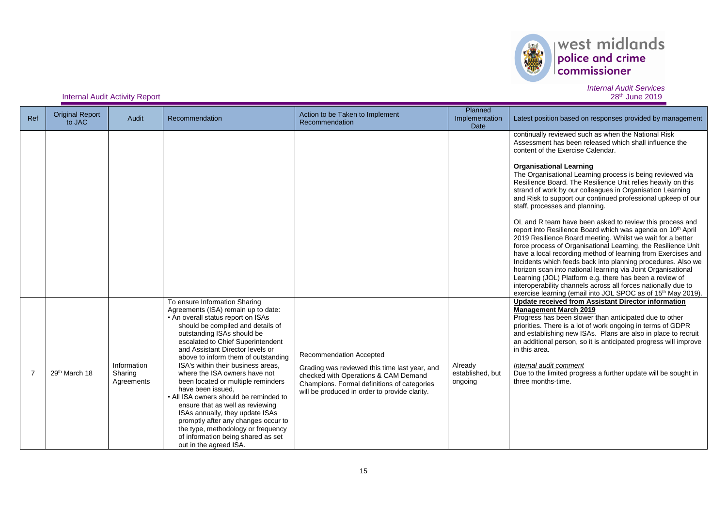

## *Internal Audit Services*

| Ref            | <b>Original Report</b><br>to JAC | Audit                                | Recommendation                                                                                                                                                                                                                                                                                                                                                                                                                                                                                                                                                                                                                                                                                | Action to be Taken to Implement<br>Recommendation                                                                                                                                                                | Planned<br>Implementation<br>Date      | Latest position based on responses provided by management                                                                                                                                                                                                                                                                                                                                                                                                                                                                                                                                                                                                                                                                                                                                                                                                                                                                                                                                                                                                                                                                                                      |
|----------------|----------------------------------|--------------------------------------|-----------------------------------------------------------------------------------------------------------------------------------------------------------------------------------------------------------------------------------------------------------------------------------------------------------------------------------------------------------------------------------------------------------------------------------------------------------------------------------------------------------------------------------------------------------------------------------------------------------------------------------------------------------------------------------------------|------------------------------------------------------------------------------------------------------------------------------------------------------------------------------------------------------------------|----------------------------------------|----------------------------------------------------------------------------------------------------------------------------------------------------------------------------------------------------------------------------------------------------------------------------------------------------------------------------------------------------------------------------------------------------------------------------------------------------------------------------------------------------------------------------------------------------------------------------------------------------------------------------------------------------------------------------------------------------------------------------------------------------------------------------------------------------------------------------------------------------------------------------------------------------------------------------------------------------------------------------------------------------------------------------------------------------------------------------------------------------------------------------------------------------------------|
|                |                                  |                                      |                                                                                                                                                                                                                                                                                                                                                                                                                                                                                                                                                                                                                                                                                               |                                                                                                                                                                                                                  |                                        | continually reviewed such as when the National Risk<br>Assessment has been released which shall influence the<br>content of the Exercise Calendar.<br><b>Organisational Learning</b><br>The Organisational Learning process is being reviewed via<br>Resilience Board. The Resilience Unit relies heavily on this<br>strand of work by our colleagues in Organisation Learning<br>and Risk to support our continued professional upkeep of our<br>staff, processes and planning.<br>OL and R team have been asked to review this process and<br>report into Resilience Board which was agenda on 10 <sup>th</sup> April<br>2019 Resilience Board meeting. Whilst we wait for a better<br>force process of Organisational Learning, the Resilience Unit<br>have a local recording method of learning from Exercises and<br>Incidents which feeds back into planning procedures. Also we<br>horizon scan into national learning via Joint Organisational<br>Learning (JOL) Platform e.g. there has been a review of<br>interoperability channels across all forces nationally due to<br>exercise learning (email into JOL SPOC as of 15 <sup>th</sup> May 2019). |
| $\overline{7}$ | 29 <sup>th</sup> March 18        | Information<br>Sharing<br>Agreements | To ensure Information Sharing<br>Agreements (ISA) remain up to date:<br>• An overall status report on ISAs<br>should be compiled and details of<br>outstanding ISAs should be<br>escalated to Chief Superintendent<br>and Assistant Director levels or<br>above to inform them of outstanding<br>ISA's within their business areas,<br>where the ISA owners have not<br>been located or multiple reminders<br>have been issued.<br>• All ISA owners should be reminded to<br>ensure that as well as reviewing<br>ISAs annually, they update ISAs<br>promptly after any changes occur to<br>the type, methodology or frequency<br>of information being shared as set<br>out in the agreed ISA. | Recommendation Accepted<br>Grading was reviewed this time last year, and<br>checked with Operations & CAM Demand<br>Champions. Formal definitions of categories<br>will be produced in order to provide clarity. | Already<br>established, but<br>ongoing | Update received from Assistant Director information<br><b>Management March 2019</b><br>Progress has been slower than anticipated due to other<br>priorities. There is a lot of work ongoing in terms of GDPR<br>and establishing new ISAs. Plans are also in place to recruit<br>an additional person, so it is anticipated progress will improve<br>in this area.<br>Internal audit comment<br>Due to the limited progress a further update will be sought in<br>three months-time.                                                                                                                                                                                                                                                                                                                                                                                                                                                                                                                                                                                                                                                                           |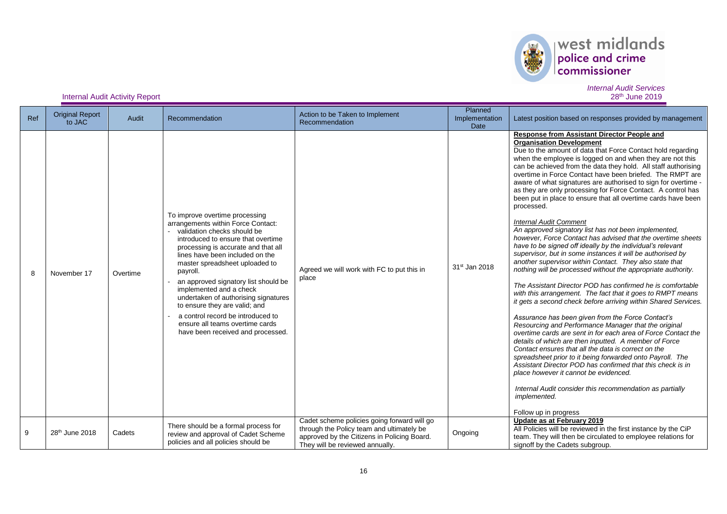

## *Internal Audit Services*

| Ref | <b>Original Report</b><br>to JAC | Audit    | Recommendation                                                                                                                                                                                                                                                                                                                                                                                                                                                                                                             | Action to be Taken to Implement<br>Recommendation                                                                                                                          | Planned<br>Implementation<br>Date | Latest position based on responses provided by management                                                                                                                                                                                                                                                                                                                                                                                                                                                                                                                                                                                                                                                                                                                                                                                                                                                                                                                                                                                                                                                                                                                                                                                                                                                                                                                                                                                                                                                                                                                                                                                                                                                                                             |
|-----|----------------------------------|----------|----------------------------------------------------------------------------------------------------------------------------------------------------------------------------------------------------------------------------------------------------------------------------------------------------------------------------------------------------------------------------------------------------------------------------------------------------------------------------------------------------------------------------|----------------------------------------------------------------------------------------------------------------------------------------------------------------------------|-----------------------------------|-------------------------------------------------------------------------------------------------------------------------------------------------------------------------------------------------------------------------------------------------------------------------------------------------------------------------------------------------------------------------------------------------------------------------------------------------------------------------------------------------------------------------------------------------------------------------------------------------------------------------------------------------------------------------------------------------------------------------------------------------------------------------------------------------------------------------------------------------------------------------------------------------------------------------------------------------------------------------------------------------------------------------------------------------------------------------------------------------------------------------------------------------------------------------------------------------------------------------------------------------------------------------------------------------------------------------------------------------------------------------------------------------------------------------------------------------------------------------------------------------------------------------------------------------------------------------------------------------------------------------------------------------------------------------------------------------------------------------------------------------------|
| 8   | November 17                      | Overtime | To improve overtime processing<br>arrangements within Force Contact:<br>validation checks should be<br>introduced to ensure that overtime<br>processing is accurate and that all<br>lines have been included on the<br>master spreadsheet uploaded to<br>payroll.<br>an approved signatory list should be<br>implemented and a check<br>undertaken of authorising signatures<br>to ensure they are valid; and<br>a control record be introduced to<br>ensure all teams overtime cards<br>have been received and processed. | Agreed we will work with FC to put this in<br>place                                                                                                                        | 31 <sup>st</sup> Jan 2018         | <b>Response from Assistant Director People and</b><br><b>Organisation Development</b><br>Due to the amount of data that Force Contact hold regarding<br>when the employee is logged on and when they are not this<br>can be achieved from the data they hold. All staff authorising<br>overtime in Force Contact have been briefed. The RMPT are<br>aware of what signatures are authorised to sign for overtime -<br>as they are only processing for Force Contact. A control has<br>been put in place to ensure that all overtime cards have been<br>processed.<br><b>Internal Audit Comment</b><br>An approved signatory list has not been implemented,<br>however, Force Contact has advised that the overtime sheets<br>have to be signed off ideally by the individual's relevant<br>supervisor, but in some instances it will be authorised by<br>another supervisor within Contact. They also state that<br>nothing will be processed without the appropriate authority.<br>The Assistant Director POD has confirmed he is comfortable<br>with this arrangement. The fact that it goes to RMPT means<br>it gets a second check before arriving within Shared Services.<br>Assurance has been given from the Force Contact's<br>Resourcing and Performance Manager that the original<br>overtime cards are sent in for each area of Force Contact the<br>details of which are then inputted. A member of Force<br>Contact ensures that all the data is correct on the<br>spreadsheet prior to it being forwarded onto Payroll. The<br>Assistant Director POD has confirmed that this check is in<br>place however it cannot be evidenced.<br>Internal Audit consider this recommendation as partially<br>implemented.<br>Follow up in progress |
| 9   | 28 <sup>th</sup> June 2018       | Cadets   | There should be a formal process for<br>review and approval of Cadet Scheme<br>policies and all policies should be                                                                                                                                                                                                                                                                                                                                                                                                         | Cadet scheme policies going forward will go<br>through the Policy team and ultimately be<br>approved by the Citizens in Policing Board.<br>They will be reviewed annually. | Ongoing                           | Update as at February 2019<br>All Policies will be reviewed in the first instance by the CiP<br>team. They will then be circulated to employee relations for<br>signoff by the Cadets subgroup.                                                                                                                                                                                                                                                                                                                                                                                                                                                                                                                                                                                                                                                                                                                                                                                                                                                                                                                                                                                                                                                                                                                                                                                                                                                                                                                                                                                                                                                                                                                                                       |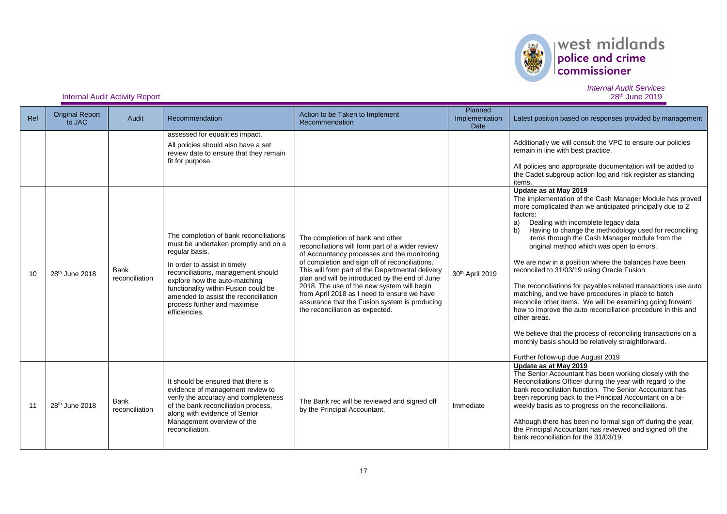

# $\begin{array}{|l|} \hline \textbf{west midlands} \\ \hline \textbf{policy and crime} \\ \textbf{commissioner} \end{array}$

*Internal Audit Services*

| Ref | <b>Original Report</b><br>to JAC | <b>Audit</b>           | Recommendation                                                                                                                                                                                                                                                                                                                           | Action to be Taken to Implement<br>Recommendation                                                                                                                                                                                                                                                                                                                                                                                                                            | Planned<br>Implementation<br><b>Date</b> | Latest position based on responses provided by management                                                                                                                                                                                                                                                                                                                                                                                                                                                                                                                                                                                                                                                                                                                                                                                                                                                      |
|-----|----------------------------------|------------------------|------------------------------------------------------------------------------------------------------------------------------------------------------------------------------------------------------------------------------------------------------------------------------------------------------------------------------------------|------------------------------------------------------------------------------------------------------------------------------------------------------------------------------------------------------------------------------------------------------------------------------------------------------------------------------------------------------------------------------------------------------------------------------------------------------------------------------|------------------------------------------|----------------------------------------------------------------------------------------------------------------------------------------------------------------------------------------------------------------------------------------------------------------------------------------------------------------------------------------------------------------------------------------------------------------------------------------------------------------------------------------------------------------------------------------------------------------------------------------------------------------------------------------------------------------------------------------------------------------------------------------------------------------------------------------------------------------------------------------------------------------------------------------------------------------|
|     |                                  |                        | assessed for equalities impact.<br>All policies should also have a set<br>review date to ensure that they remain<br>fit for purpose.                                                                                                                                                                                                     |                                                                                                                                                                                                                                                                                                                                                                                                                                                                              |                                          | Additionally we will consult the VPC to ensure our policies<br>remain in line with best practice.<br>All policies and appropriate documentation will be added to<br>the Cadet subgroup action log and risk register as standing<br>items.                                                                                                                                                                                                                                                                                                                                                                                                                                                                                                                                                                                                                                                                      |
| 10  | 28 <sup>th</sup> June 2018       | Bank<br>reconciliation | The completion of bank reconciliations<br>must be undertaken promptly and on a<br>regular basis.<br>In order to assist in timely<br>reconciliations, management should<br>explore how the auto-matching<br>functionality within Fusion could be<br>amended to assist the reconciliation<br>process further and maximise<br>efficiencies. | The completion of bank and other<br>reconciliations will form part of a wider review<br>of Accountancy processes and the monitoring<br>of completion and sign off of reconciliations.<br>This will form part of the Departmental delivery<br>plan and will be introduced by the end of June<br>2018. The use of the new system will begin<br>from April 2018 as I need to ensure we have<br>assurance that the Fusion system is producing<br>the reconciliation as expected. | 30th April 2019                          | Update as at May 2019<br>The implementation of the Cash Manager Module has proved<br>more complicated than we anticipated principally due to 2<br>factors:<br>Dealing with incomplete legacy data<br>a)<br>Having to change the methodology used for reconciling<br>b)<br>items through the Cash Manager module from the<br>original method which was open to errors.<br>We are now in a position where the balances have been<br>reconciled to 31/03/19 using Oracle Fusion.<br>The reconciliations for payables related transactions use auto<br>matching, and we have procedures in place to batch<br>reconcile other items. We will be examining going forward<br>how to improve the auto reconciliation procedure in this and<br>other areas.<br>We believe that the process of reconciling transactions on a<br>monthly basis should be relatively straightforward.<br>Further follow-up due August 2019 |
| 11  | 28 <sup>th</sup> June 2018       | Bank<br>reconciliation | It should be ensured that there is<br>evidence of management review to<br>verify the accuracy and completeness<br>of the bank reconciliation process,<br>along with evidence of Senior<br>Management overview of the<br>reconciliation.                                                                                                  | The Bank rec will be reviewed and signed off<br>by the Principal Accountant.                                                                                                                                                                                                                                                                                                                                                                                                 | Immediate                                | Update as at May 2019<br>The Senior Accountant has been working closely with the<br>Reconciliations Officer during the year with regard to the<br>bank reconciliation function. The Senior Accountant has<br>been reporting back to the Principal Accountant on a bi-<br>weekly basis as to progress on the reconciliations.<br>Although there has been no formal sign off during the year,<br>the Principal Accountant has reviewed and signed off the<br>bank reconciliation for the 31/03/19.                                                                                                                                                                                                                                                                                                                                                                                                               |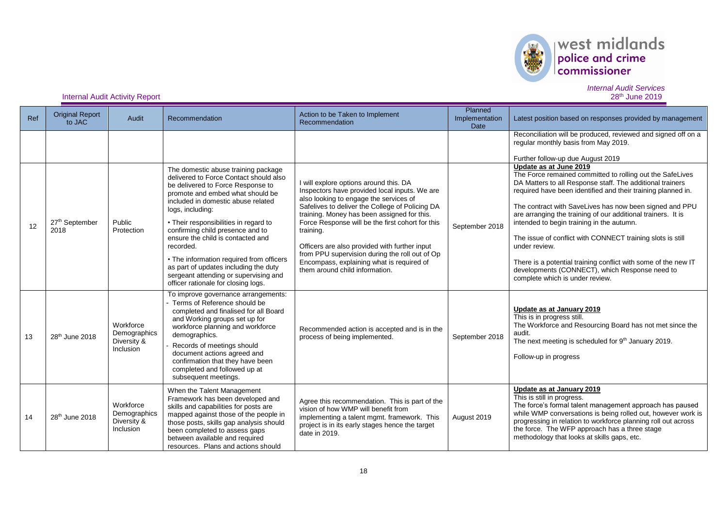

| Internal Audit Activity Report | 28 <sup>th</sup> June 2019 |
|--------------------------------|----------------------------|
|--------------------------------|----------------------------|

| Ref | <b>Original Report</b><br>to JAC | Audit                                                 | Recommendation                                                                                                                                                                                                                                                                                                                                                                                                                                                                                                       | Action to be Taken to Implement<br>Recommendation                                                                                                                                                                                                                                                                                                                                                                                                                                      | Planned<br>Implementation<br><b>Date</b> | Latest position based on responses provided by management                                                                                                                                                                                                                                                                                                                                                                                                                                                                                                                                                                      |
|-----|----------------------------------|-------------------------------------------------------|----------------------------------------------------------------------------------------------------------------------------------------------------------------------------------------------------------------------------------------------------------------------------------------------------------------------------------------------------------------------------------------------------------------------------------------------------------------------------------------------------------------------|----------------------------------------------------------------------------------------------------------------------------------------------------------------------------------------------------------------------------------------------------------------------------------------------------------------------------------------------------------------------------------------------------------------------------------------------------------------------------------------|------------------------------------------|--------------------------------------------------------------------------------------------------------------------------------------------------------------------------------------------------------------------------------------------------------------------------------------------------------------------------------------------------------------------------------------------------------------------------------------------------------------------------------------------------------------------------------------------------------------------------------------------------------------------------------|
|     |                                  |                                                       |                                                                                                                                                                                                                                                                                                                                                                                                                                                                                                                      |                                                                                                                                                                                                                                                                                                                                                                                                                                                                                        |                                          | Reconciliation will be produced, reviewed and signed off on a<br>regular monthly basis from May 2019.<br>Further follow-up due August 2019                                                                                                                                                                                                                                                                                                                                                                                                                                                                                     |
| 12  | 27th September<br>2018           | Public<br>Protection                                  | The domestic abuse training package<br>delivered to Force Contact should also<br>be delivered to Force Response to<br>promote and embed what should be<br>included in domestic abuse related<br>logs, including:<br>• Their responsibilities in regard to<br>confirming child presence and to<br>ensure the child is contacted and<br>recorded.<br>• The information required from officers<br>as part of updates including the duty<br>sergeant attending or supervising and<br>officer rationale for closing logs. | I will explore options around this. DA<br>Inspectors have provided local inputs. We are<br>also looking to engage the services of<br>Safelives to deliver the College of Policing DA<br>training. Money has been assigned for this.<br>Force Response will be the first cohort for this<br>training.<br>Officers are also provided with further input<br>from PPU supervision during the roll out of Op<br>Encompass, explaining what is required of<br>them around child information. | September 2018                           | Update as at June 2019<br>The Force remained committed to rolling out the SafeLives<br>DA Matters to all Response staff. The additional trainers<br>required have been identified and their training planned in.<br>The contract with SaveLives has now been signed and PPU<br>are arranging the training of our additional trainers. It is<br>intended to begin training in the autumn.<br>The issue of conflict with CONNECT training slots is still<br>under review.<br>There is a potential training conflict with some of the new IT<br>developments (CONNECT), which Response need to<br>complete which is under review. |
| 13  | 28 <sup>th</sup> June 2018       | Workforce<br>Demographics<br>Diversity &<br>Inclusion | To improve governance arrangements:<br>Terms of Reference should be<br>completed and finalised for all Board<br>and Working groups set up for<br>workforce planning and workforce<br>demographics.<br>Records of meetings should<br>document actions agreed and<br>confirmation that they have been<br>completed and followed up at<br>subsequent meetings.                                                                                                                                                          | Recommended action is accepted and is in the<br>process of being implemented.                                                                                                                                                                                                                                                                                                                                                                                                          | September 2018                           | Update as at January 2019<br>This is in progress still.<br>The Workforce and Resourcing Board has not met since the<br>audit.<br>The next meeting is scheduled for 9th January 2019.<br>Follow-up in progress                                                                                                                                                                                                                                                                                                                                                                                                                  |
| 14  | 28 <sup>th</sup> June 2018       | Workforce<br>Demographics<br>Diversity &<br>Inclusion | When the Talent Management<br>Framework has been developed and<br>skills and capabilities for posts are<br>mapped against those of the people in<br>those posts, skills gap analysis should<br>been completed to assess gaps<br>between available and required<br>resources. Plans and actions should                                                                                                                                                                                                                | Agree this recommendation. This is part of the<br>vision of how WMP will benefit from<br>implementing a talent mgmt. framework. This<br>project is in its early stages hence the target<br>date in 2019.                                                                                                                                                                                                                                                                               | August 2019                              | Update as at January 2019<br>This is still in progress.<br>The force's formal talent management approach has paused<br>while WMP conversations is being rolled out, however work is<br>progressing in relation to workforce planning roll out across<br>the force. The WFP approach has a three stage<br>methodology that looks at skills gaps, etc.                                                                                                                                                                                                                                                                           |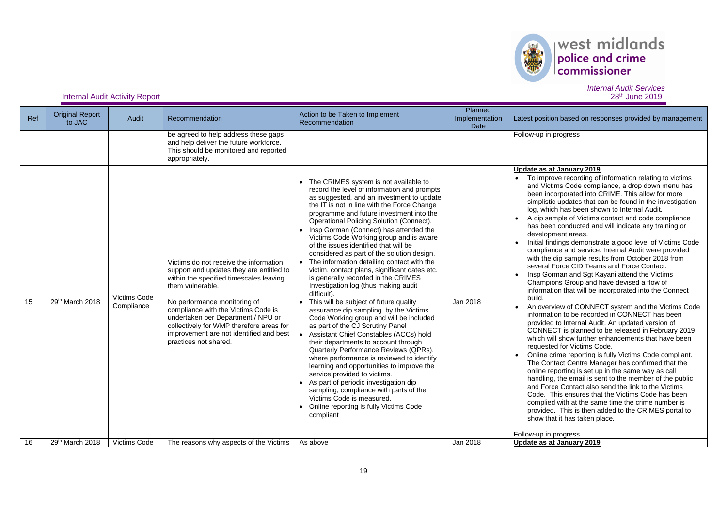

# $\begin{array}{|l|} \hline \textbf{west midlands} \\ \hline \textbf{policy and crime} \\ \textbf{commissioner} \end{array}$

**Internal Audit Activity Report** 

| Ref | <b>Original Report</b><br>to JAC | Audit                             | Recommendation                                                                                                                                                                                                                                                                                                                                                                  | Action to be Taken to Implement<br>Recommendation                                                                                                                                                                                                                                                                                                                                                                                                                                                                                                                                                                                                                                                                                                                                                                                                                                                                                                                                                                                                                                                                                                                                                                                                         | Planned<br>Implementation<br><b>Date</b> | Latest position based on responses provided by management                                                                                                                                                                                                                                                                                                                                                                                                                                                                                                                                                                                                                                                                                                                                                                                                                                                                                                                                                                                                                                                                                                                                                                                                                                                                                                                                                                                                                                                                                                                                                                                                                                                          |
|-----|----------------------------------|-----------------------------------|---------------------------------------------------------------------------------------------------------------------------------------------------------------------------------------------------------------------------------------------------------------------------------------------------------------------------------------------------------------------------------|-----------------------------------------------------------------------------------------------------------------------------------------------------------------------------------------------------------------------------------------------------------------------------------------------------------------------------------------------------------------------------------------------------------------------------------------------------------------------------------------------------------------------------------------------------------------------------------------------------------------------------------------------------------------------------------------------------------------------------------------------------------------------------------------------------------------------------------------------------------------------------------------------------------------------------------------------------------------------------------------------------------------------------------------------------------------------------------------------------------------------------------------------------------------------------------------------------------------------------------------------------------|------------------------------------------|--------------------------------------------------------------------------------------------------------------------------------------------------------------------------------------------------------------------------------------------------------------------------------------------------------------------------------------------------------------------------------------------------------------------------------------------------------------------------------------------------------------------------------------------------------------------------------------------------------------------------------------------------------------------------------------------------------------------------------------------------------------------------------------------------------------------------------------------------------------------------------------------------------------------------------------------------------------------------------------------------------------------------------------------------------------------------------------------------------------------------------------------------------------------------------------------------------------------------------------------------------------------------------------------------------------------------------------------------------------------------------------------------------------------------------------------------------------------------------------------------------------------------------------------------------------------------------------------------------------------------------------------------------------------------------------------------------------------|
|     |                                  |                                   | be agreed to help address these gaps<br>and help deliver the future workforce.<br>This should be monitored and reported<br>appropriately.                                                                                                                                                                                                                                       |                                                                                                                                                                                                                                                                                                                                                                                                                                                                                                                                                                                                                                                                                                                                                                                                                                                                                                                                                                                                                                                                                                                                                                                                                                                           |                                          | Follow-up in progress                                                                                                                                                                                                                                                                                                                                                                                                                                                                                                                                                                                                                                                                                                                                                                                                                                                                                                                                                                                                                                                                                                                                                                                                                                                                                                                                                                                                                                                                                                                                                                                                                                                                                              |
| 15  | 29th March 2018                  | <b>Victims Code</b><br>Compliance | Victims do not receive the information.<br>support and updates they are entitled to<br>within the specified timescales leaving<br>them vulnerable.<br>No performance monitoring of<br>compliance with the Victims Code is<br>undertaken per Department / NPU or<br>collectively for WMP therefore areas for<br>improvement are not identified and best<br>practices not shared. | • The CRIMES system is not available to<br>record the level of information and prompts<br>as suggested, and an investment to update<br>the IT is not in line with the Force Change<br>programme and future investment into the<br>Operational Policing Solution (Connect).<br>• Insp Gorman (Connect) has attended the<br>Victims Code Working group and is aware<br>of the issues identified that will be<br>considered as part of the solution design.<br>• The information detailing contact with the<br>victim, contact plans, significant dates etc.<br>is generally recorded in the CRIMES<br>Investigation log (thus making audit<br>difficult).<br>• This will be subject of future quality<br>assurance dip sampling by the Victims<br>Code Working group and will be included<br>as part of the CJ Scrutiny Panel<br>• Assistant Chief Constables (ACCs) hold<br>their departments to account through<br>Quarterly Performance Reviews (QPRs),<br>where performance is reviewed to identify<br>learning and opportunities to improve the<br>service provided to victims.<br>As part of periodic investigation dip<br>sampling, compliance with parts of the<br>Victims Code is measured.<br>Online reporting is fully Victims Code<br>compliant | Jan 2018                                 | Update as at January 2019<br>To improve recording of information relating to victims<br>$\bullet$<br>and Victims Code compliance, a drop down menu has<br>been incorporated into CRIME. This allow for more<br>simplistic updates that can be found in the investigation<br>log, which has been shown to Internal Audit.<br>A dip sample of Victims contact and code compliance<br>$\bullet$<br>has been conducted and will indicate any training or<br>development areas.<br>Initial findings demonstrate a good level of Victims Code<br>$\bullet$<br>compliance and service. Internal Audit were provided<br>with the dip sample results from October 2018 from<br>several Force CID Teams and Force Contact.<br>Insp Gorman and Sqt Kayani attend the Victims<br>$\bullet$<br>Champions Group and have devised a flow of<br>information that will be incorporated into the Connect<br>build.<br>An overview of CONNECT system and the Victims Code<br>$\bullet$<br>information to be recorded in CONNECT has been<br>provided to Internal Audit. An updated version of<br>CONNECT is planned to be released in February 2019<br>which will show further enhancements that have been<br>requested for Victims Code.<br>Online crime reporting is fully Victims Code compliant.<br>The Contact Centre Manager has confirmed that the<br>online reporting is set up in the same way as call<br>handling, the email is sent to the member of the public<br>and Force Contact also send the link to the Victims<br>Code. This ensures that the Victims Code has been<br>complied with at the same time the crime number is<br>provided. This is then added to the CRIMES portal to<br>show that it has taken place. |
| 16  | 29th March 2018                  | <b>Victims Code</b>               | The reasons why aspects of the Victims                                                                                                                                                                                                                                                                                                                                          | As above                                                                                                                                                                                                                                                                                                                                                                                                                                                                                                                                                                                                                                                                                                                                                                                                                                                                                                                                                                                                                                                                                                                                                                                                                                                  | Jan 2018                                 | Follow-up in progress<br>Update as at January 2019                                                                                                                                                                                                                                                                                                                                                                                                                                                                                                                                                                                                                                                                                                                                                                                                                                                                                                                                                                                                                                                                                                                                                                                                                                                                                                                                                                                                                                                                                                                                                                                                                                                                 |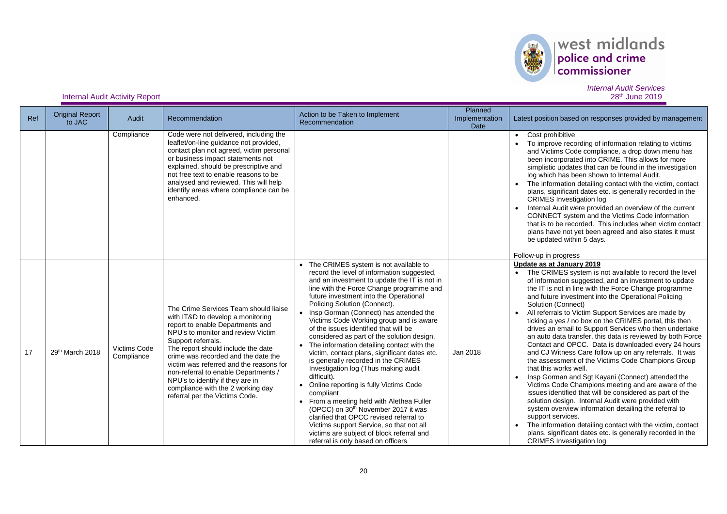

| Ref | <b>Original Report</b><br>to JAC | Audit                             | Recommendation                                                                                                                                                                                                                                                                                                                                                                                                                                        | Action to be Taken to Implement<br>Recommendation                                                                                                                                                                                                                                                                                                                                                                                                                                                                                                                                                                                                                                                                                                                                                                                                                                                                                                                                    | Planned<br>Implementation<br>Date | Latest position based on responses provided by management                                                                                                                                                                                                                                                                                                                                                                                                                                                                                                                                                                                                                                                                                                                                                                                                                                                                                                                                                                                                                                                                                                                                                   |
|-----|----------------------------------|-----------------------------------|-------------------------------------------------------------------------------------------------------------------------------------------------------------------------------------------------------------------------------------------------------------------------------------------------------------------------------------------------------------------------------------------------------------------------------------------------------|--------------------------------------------------------------------------------------------------------------------------------------------------------------------------------------------------------------------------------------------------------------------------------------------------------------------------------------------------------------------------------------------------------------------------------------------------------------------------------------------------------------------------------------------------------------------------------------------------------------------------------------------------------------------------------------------------------------------------------------------------------------------------------------------------------------------------------------------------------------------------------------------------------------------------------------------------------------------------------------|-----------------------------------|-------------------------------------------------------------------------------------------------------------------------------------------------------------------------------------------------------------------------------------------------------------------------------------------------------------------------------------------------------------------------------------------------------------------------------------------------------------------------------------------------------------------------------------------------------------------------------------------------------------------------------------------------------------------------------------------------------------------------------------------------------------------------------------------------------------------------------------------------------------------------------------------------------------------------------------------------------------------------------------------------------------------------------------------------------------------------------------------------------------------------------------------------------------------------------------------------------------|
|     |                                  | Compliance                        | Code were not delivered, including the<br>leaflet/on-line guidance not provided,<br>contact plan not agreed, victim personal<br>or business impact statements not<br>explained, should be prescriptive and<br>not free text to enable reasons to be<br>analysed and reviewed. This will help<br>identify areas where compliance can be<br>enhanced.                                                                                                   |                                                                                                                                                                                                                                                                                                                                                                                                                                                                                                                                                                                                                                                                                                                                                                                                                                                                                                                                                                                      |                                   | • Cost prohibitive<br>To improve recording of information relating to victims<br>and Victims Code compliance, a drop down menu has<br>been incorporated into CRIME. This allows for more<br>simplistic updates that can be found in the investigation<br>log which has been shown to Internal Audit.<br>• The information detailing contact with the victim, contact<br>plans, significant dates etc. is generally recorded in the<br><b>CRIMES</b> Investigation log<br>Internal Audit were provided an overview of the current<br>CONNECT system and the Victims Code information<br>that is to be recorded. This includes when victim contact<br>plans have not yet been agreed and also states it must<br>be updated within 5 days.<br>Follow-up in progress                                                                                                                                                                                                                                                                                                                                                                                                                                            |
| 17  | 29th March 2018                  | <b>Victims Code</b><br>Compliance | The Crime Services Team should liaise<br>with IT&D to develop a monitoring<br>report to enable Departments and<br>NPU's to monitor and review Victim<br>Support referrals.<br>The report should include the date<br>crime was recorded and the date the<br>victim was referred and the reasons for<br>non-referral to enable Departments /<br>NPU's to identify if they are in<br>compliance with the 2 working day<br>referral per the Victims Code. | The CRIMES system is not available to<br>record the level of information suggested,<br>and an investment to update the IT is not in<br>line with the Force Change programme and<br>future investment into the Operational<br>Policing Solution (Connect).<br>• Insp Gorman (Connect) has attended the<br>Victims Code Working group and is aware<br>of the issues identified that will be<br>considered as part of the solution design.<br>The information detailing contact with the<br>$\bullet$<br>victim, contact plans, significant dates etc.<br>is generally recorded in the CRIMES<br>Investigation log (Thus making audit<br>difficult).<br>• Online reporting is fully Victims Code<br>compliant<br>• From a meeting held with Alethea Fuller<br>(OPCC) on 30 <sup>th</sup> November 2017 it was<br>clarified that OPCC revised referral to<br>Victims support Service, so that not all<br>victims are subject of block referral and<br>referral is only based on officers | Jan 2018                          | Update as at January 2019<br>• The CRIMES system is not available to record the level<br>of information suggested, and an investment to update<br>the IT is not in line with the Force Change programme<br>and future investment into the Operational Policing<br>Solution (Connect)<br>All referrals to Victim Support Services are made by<br>ticking a yes / no box on the CRIMES portal, this then<br>drives an email to Support Services who then undertake<br>an auto data transfer, this data is reviewed by both Force<br>Contact and OPCC. Data is downloaded every 24 hours<br>and CJ Witness Care follow up on any referrals. It was<br>the assessment of the Victims Code Champions Group<br>that this works well.<br>Insp Gorman and Sgt Kayani (Connect) attended the<br>Victims Code Champions meeting and are aware of the<br>issues identified that will be considered as part of the<br>solution design. Internal Audit were provided with<br>system overview information detailing the referral to<br>support services.<br>• The information detailing contact with the victim, contact<br>plans, significant dates etc. is generally recorded in the<br><b>CRIMES</b> Investigation log |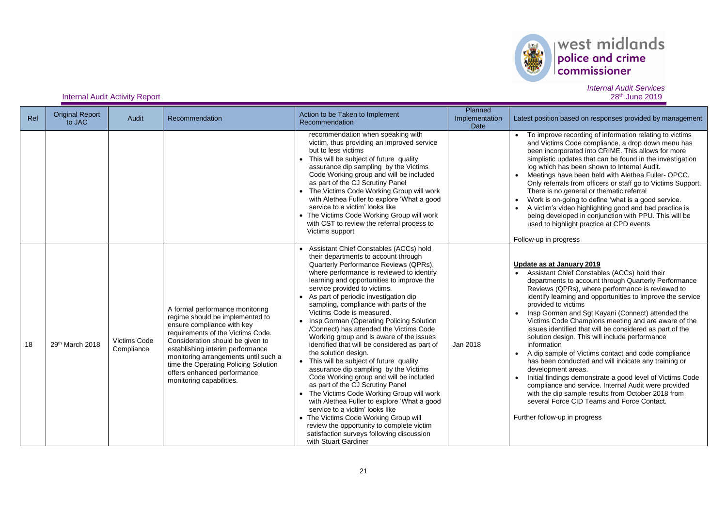

## *Internal Audit Services*

| Ref | <b>Original Report</b><br>to JAC | Audit                      | Recommendation                                                                                                                                                                                                                                                                                                                                           | Action to be Taken to Implement<br>Recommendation                                                                                                                                                                                                                                                                                                                                                                                                                                                                                                                                                                                                                                                                                                                                                                                                                                                                                                                                                                                              | Planned<br>Implementation<br>Date | Latest position based on responses provided by management                                                                                                                                                                                                                                                                                                                                                                                                                                                                                                                                                                                                                                                                                                                                                                                                                                                              |
|-----|----------------------------------|----------------------------|----------------------------------------------------------------------------------------------------------------------------------------------------------------------------------------------------------------------------------------------------------------------------------------------------------------------------------------------------------|------------------------------------------------------------------------------------------------------------------------------------------------------------------------------------------------------------------------------------------------------------------------------------------------------------------------------------------------------------------------------------------------------------------------------------------------------------------------------------------------------------------------------------------------------------------------------------------------------------------------------------------------------------------------------------------------------------------------------------------------------------------------------------------------------------------------------------------------------------------------------------------------------------------------------------------------------------------------------------------------------------------------------------------------|-----------------------------------|------------------------------------------------------------------------------------------------------------------------------------------------------------------------------------------------------------------------------------------------------------------------------------------------------------------------------------------------------------------------------------------------------------------------------------------------------------------------------------------------------------------------------------------------------------------------------------------------------------------------------------------------------------------------------------------------------------------------------------------------------------------------------------------------------------------------------------------------------------------------------------------------------------------------|
|     |                                  |                            |                                                                                                                                                                                                                                                                                                                                                          | recommendation when speaking with<br>victim, thus providing an improved service<br>but to less victims<br>This will be subject of future quality<br>assurance dip sampling by the Victims<br>Code Working group and will be included<br>as part of the CJ Scrutiny Panel<br>The Victims Code Working Group will work<br>with Alethea Fuller to explore 'What a good<br>service to a victim' looks like<br>• The Victims Code Working Group will work<br>with CST to review the referral process to<br>Victims support                                                                                                                                                                                                                                                                                                                                                                                                                                                                                                                          |                                   | • To improve recording of information relating to victims<br>and Victims Code compliance, a drop down menu has<br>been incorporated into CRIME. This allows for more<br>simplistic updates that can be found in the investigation<br>log which has been shown to Internal Audit.<br>• Meetings have been held with Alethea Fuller-OPCC.<br>Only referrals from officers or staff go to Victims Support.<br>There is no general or thematic referral<br>Work is on-going to define 'what is a good service.<br>A victim's video highlighting good and bad practice is<br>being developed in conjunction with PPU. This will be<br>used to highlight practice at CPD events<br>Follow-up in progress                                                                                                                                                                                                                     |
| 18  | 29th March 2018                  | Victims Code<br>Compliance | A formal performance monitoring<br>regime should be implemented to<br>ensure compliance with key<br>requirements of the Victims Code.<br>Consideration should be given to<br>establishing interim performance<br>monitoring arrangements until such a<br>time the Operating Policing Solution<br>offers enhanced performance<br>monitoring capabilities. | Assistant Chief Constables (ACCs) hold<br>their departments to account through<br>Quarterly Performance Reviews (QPRs),<br>where performance is reviewed to identify<br>learning and opportunities to improve the<br>service provided to victims.<br>As part of periodic investigation dip<br>sampling, compliance with parts of the<br>Victims Code is measured.<br>• Insp Gorman (Operating Policing Solution<br>/Connect) has attended the Victims Code<br>Working group and is aware of the issues<br>identified that will be considered as part of<br>the solution design.<br>• This will be subject of future quality<br>assurance dip sampling by the Victims<br>Code Working group and will be included<br>as part of the CJ Scrutiny Panel<br>• The Victims Code Working Group will work<br>with Alethea Fuller to explore 'What a good<br>service to a victim' looks like<br>• The Victims Code Working Group will<br>review the opportunity to complete victim<br>satisfaction surveys following discussion<br>with Stuart Gardiner | Jan 2018                          | Update as at January 2019<br>• Assistant Chief Constables (ACCs) hold their<br>departments to account through Quarterly Performance<br>Reviews (QPRs), where performance is reviewed to<br>identify learning and opportunities to improve the service<br>provided to victims<br>Insp Gorman and Sgt Kayani (Connect) attended the<br>Victims Code Champions meeting and are aware of the<br>issues identified that will be considered as part of the<br>solution design. This will include performance<br>information<br>• A dip sample of Victims contact and code compliance<br>has been conducted and will indicate any training or<br>development areas.<br>Initial findings demonstrate a good level of Victims Code<br>compliance and service. Internal Audit were provided<br>with the dip sample results from October 2018 from<br>several Force CID Teams and Force Contact.<br>Further follow-up in progress |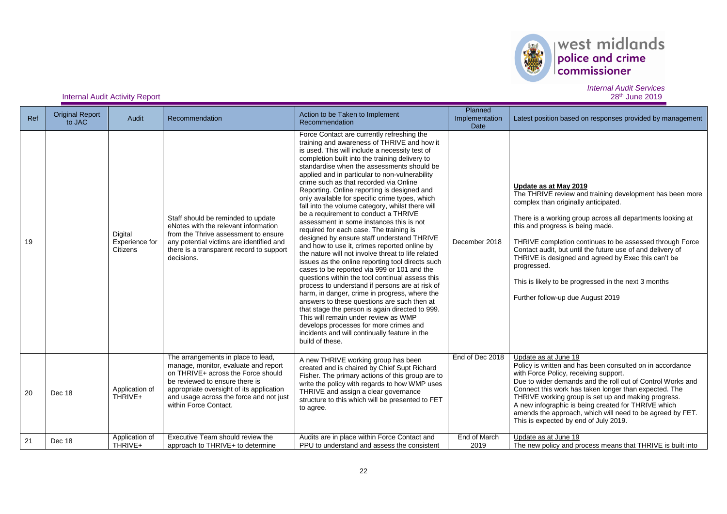

| Ref | <b>Original Report</b><br>to JAC | Audit                                 | Recommendation                                                                                                                                                                                                                                                     | Action to be Taken to Implement<br>Recommendation                                                                                                                                                                                                                                                                                                                                                                                                                                                                                                                                                                                                                                                                                                                                                                                                                                                                                                                                                                                                                                                                                                                                                                                                                                                 | Planned<br>Implementation<br>Date | Latest position based on responses provided by management                                                                                                                                                                                                                                                                                                                                                                                                                                                                |
|-----|----------------------------------|---------------------------------------|--------------------------------------------------------------------------------------------------------------------------------------------------------------------------------------------------------------------------------------------------------------------|---------------------------------------------------------------------------------------------------------------------------------------------------------------------------------------------------------------------------------------------------------------------------------------------------------------------------------------------------------------------------------------------------------------------------------------------------------------------------------------------------------------------------------------------------------------------------------------------------------------------------------------------------------------------------------------------------------------------------------------------------------------------------------------------------------------------------------------------------------------------------------------------------------------------------------------------------------------------------------------------------------------------------------------------------------------------------------------------------------------------------------------------------------------------------------------------------------------------------------------------------------------------------------------------------|-----------------------------------|--------------------------------------------------------------------------------------------------------------------------------------------------------------------------------------------------------------------------------------------------------------------------------------------------------------------------------------------------------------------------------------------------------------------------------------------------------------------------------------------------------------------------|
| 19  |                                  | Digital<br>Experience for<br>Citizens | Staff should be reminded to update<br>eNotes with the relevant information<br>from the Thrive assessment to ensure<br>any potential victims are identified and<br>there is a transparent record to support<br>decisions.                                           | Force Contact are currently refreshing the<br>training and awareness of THRIVE and how it<br>is used. This will include a necessity test of<br>completion built into the training delivery to<br>standardise when the assessments should be<br>applied and in particular to non-vulnerability<br>crime such as that recorded via Online<br>Reporting. Online reporting is designed and<br>only available for specific crime types, which<br>fall into the volume category, whilst there will<br>be a requirement to conduct a THRIVE<br>assessment in some instances this is not<br>required for each case. The training is<br>designed by ensure staff understand THRIVE<br>and how to use it, crimes reported online by<br>the nature will not involve threat to life related<br>issues as the online reporting tool directs such<br>cases to be reported via 999 or 101 and the<br>questions within the tool continual assess this<br>process to understand if persons are at risk of<br>harm, in danger, crime in progress, where the<br>answers to these questions are such then at<br>that stage the person is again directed to 999.<br>This will remain under review as WMP<br>develops processes for more crimes and<br>incidents and will continually feature in the<br>build of these. | December 2018                     | Update as at May 2019<br>The THRIVE review and training development has been more<br>complex than originally anticipated.<br>There is a working group across all departments looking at<br>this and progress is being made.<br>THRIVE completion continues to be assessed through Force<br>Contact audit, but until the future use of and delivery of<br>THRIVE is designed and agreed by Exec this can't be<br>progressed.<br>This is likely to be progressed in the next 3 months<br>Further follow-up due August 2019 |
| 20  | Dec 18                           | Application of<br>THRIVE+             | The arrangements in place to lead,<br>manage, monitor, evaluate and report<br>on THRIVE+ across the Force should<br>be reviewed to ensure there is<br>appropriate oversight of its application<br>and usage across the force and not just<br>within Force Contact. | A new THRIVE working group has been<br>created and is chaired by Chief Supt Richard<br>Fisher. The primary actions of this group are to<br>write the policy with regards to how WMP uses<br>THRIVE and assign a clear governance<br>structure to this which will be presented to FET<br>to agree.                                                                                                                                                                                                                                                                                                                                                                                                                                                                                                                                                                                                                                                                                                                                                                                                                                                                                                                                                                                                 | End of Dec 2018                   | Update as at June 19<br>Policy is written and has been consulted on in accordance<br>with Force Policy, receiving support.<br>Due to wider demands and the roll out of Control Works and<br>Connect this work has taken longer than expected. The<br>THRIVE working group is set up and making progress.<br>A new infographic is being created for THRIVE which<br>amends the approach, which will need to be agreed by FET.<br>This is expected by end of July 2019.                                                    |
| 21  | Dec 18                           | Application of<br>THRIVE+             | Executive Team should review the<br>approach to THRIVE+ to determine                                                                                                                                                                                               | Audits are in place within Force Contact and<br>PPU to understand and assess the consistent                                                                                                                                                                                                                                                                                                                                                                                                                                                                                                                                                                                                                                                                                                                                                                                                                                                                                                                                                                                                                                                                                                                                                                                                       | End of March<br>2019              | Update as at June 19<br>The new policy and process means that THRIVE is built into                                                                                                                                                                                                                                                                                                                                                                                                                                       |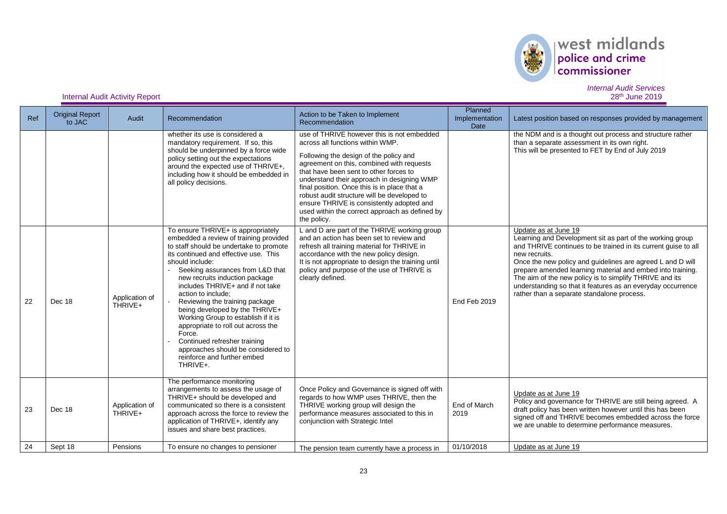

| Ref | <b>Original Report</b><br>to JAC | Audit                     | Recommendation                                                                                                                                                                                                                                                                                                                                                                                                                                                                                                                                                                                  | Action to be Taken to Implement<br>Recommendation                                                                                                                                                                                                                                                                                                                                                                                                                          | Planned<br>Implementation<br>Date | Latest position based on responses provided by management                                                                                                                                                                                                                                                                                                                                                                                                                |
|-----|----------------------------------|---------------------------|-------------------------------------------------------------------------------------------------------------------------------------------------------------------------------------------------------------------------------------------------------------------------------------------------------------------------------------------------------------------------------------------------------------------------------------------------------------------------------------------------------------------------------------------------------------------------------------------------|----------------------------------------------------------------------------------------------------------------------------------------------------------------------------------------------------------------------------------------------------------------------------------------------------------------------------------------------------------------------------------------------------------------------------------------------------------------------------|-----------------------------------|--------------------------------------------------------------------------------------------------------------------------------------------------------------------------------------------------------------------------------------------------------------------------------------------------------------------------------------------------------------------------------------------------------------------------------------------------------------------------|
|     |                                  |                           | whether its use is considered a<br>mandatory requirement. If so, this<br>should be underpinned by a force wide<br>policy setting out the expectations<br>around the expected use of THRIVE+,<br>including how it should be embedded in<br>all policy decisions.                                                                                                                                                                                                                                                                                                                                 | use of THRIVE however this is not embedded<br>across all functions within WMP.<br>Following the design of the policy and<br>agreement on this, combined with requests<br>that have been sent to other forces to<br>understand their approach in designing WMP<br>final position. Once this is in place that a<br>robust audit structure will be developed to<br>ensure THRIVE is consistently adopted and<br>used within the correct approach as defined by<br>the policy. |                                   | the NDM and is a thought out process and structure rather<br>than a separate assessment in its own right.<br>This will be presented to FET by End of July 2019                                                                                                                                                                                                                                                                                                           |
| 22  | Dec 18                           | Application of<br>THRIVE+ | To ensure THRIVE+ is appropriately<br>embedded a review of training provided<br>to staff should be undertake to promote<br>its continued and effective use. This<br>should include:<br>Seeking assurances from L&D that<br>new recruits induction package<br>includes THRIVE+ and if not take<br>action to include:<br>Reviewing the training package<br>being developed by the THRIVE+<br>Working Group to establish if it is<br>appropriate to roll out across the<br>Force.<br>Continued refresher training<br>approaches should be considered to<br>reinforce and further embed<br>THRIVE+. | L and D are part of the THRIVE working group<br>and an action has been set to review and<br>refresh all training material for THRIVE in<br>accordance with the new policy design.<br>It is not appropriate to design the training until<br>policy and purpose of the use of THRIVE is<br>clearly defined.                                                                                                                                                                  | End Feb 2019                      | Update as at June 19<br>Learning and Development sit as part of the working group<br>and THRIVE continues to be trained in its current guise to all<br>new recruits.<br>Once the new policy and guidelines are agreed L and D will<br>prepare amended learning material and embed into training.<br>The aim of the new policy is to simplify THRIVE and its<br>understanding so that it features as an everyday occurrence<br>rather than a separate standalone process. |
| 23  | Dec 18                           | Application of<br>THRIVE+ | The performance monitoring<br>arrangements to assess the usage of<br>THRIVE+ should be developed and<br>communicated so there is a consistent<br>approach across the force to review the<br>application of THRIVE+, identify any<br>issues and share best practices.                                                                                                                                                                                                                                                                                                                            | Once Policy and Governance is signed off with<br>regards to how WMP uses THRIVE, then the<br>THRIVE working group will design the<br>performance measures associated to this in<br>conjunction with Strategic Intel                                                                                                                                                                                                                                                        | End of March<br>2019              | Update as at June 19<br>Policy and governance for THRIVE are still being agreed. A<br>draft policy has been written however until this has been<br>signed off and THRIVE becomes embedded across the force<br>we are unable to determine performance measures.                                                                                                                                                                                                           |
| 24  | Sept 18                          | Pensions                  | To ensure no changes to pensioner                                                                                                                                                                                                                                                                                                                                                                                                                                                                                                                                                               | The pension team currently have a process in                                                                                                                                                                                                                                                                                                                                                                                                                               | 01/10/2018                        | Update as at June 19                                                                                                                                                                                                                                                                                                                                                                                                                                                     |